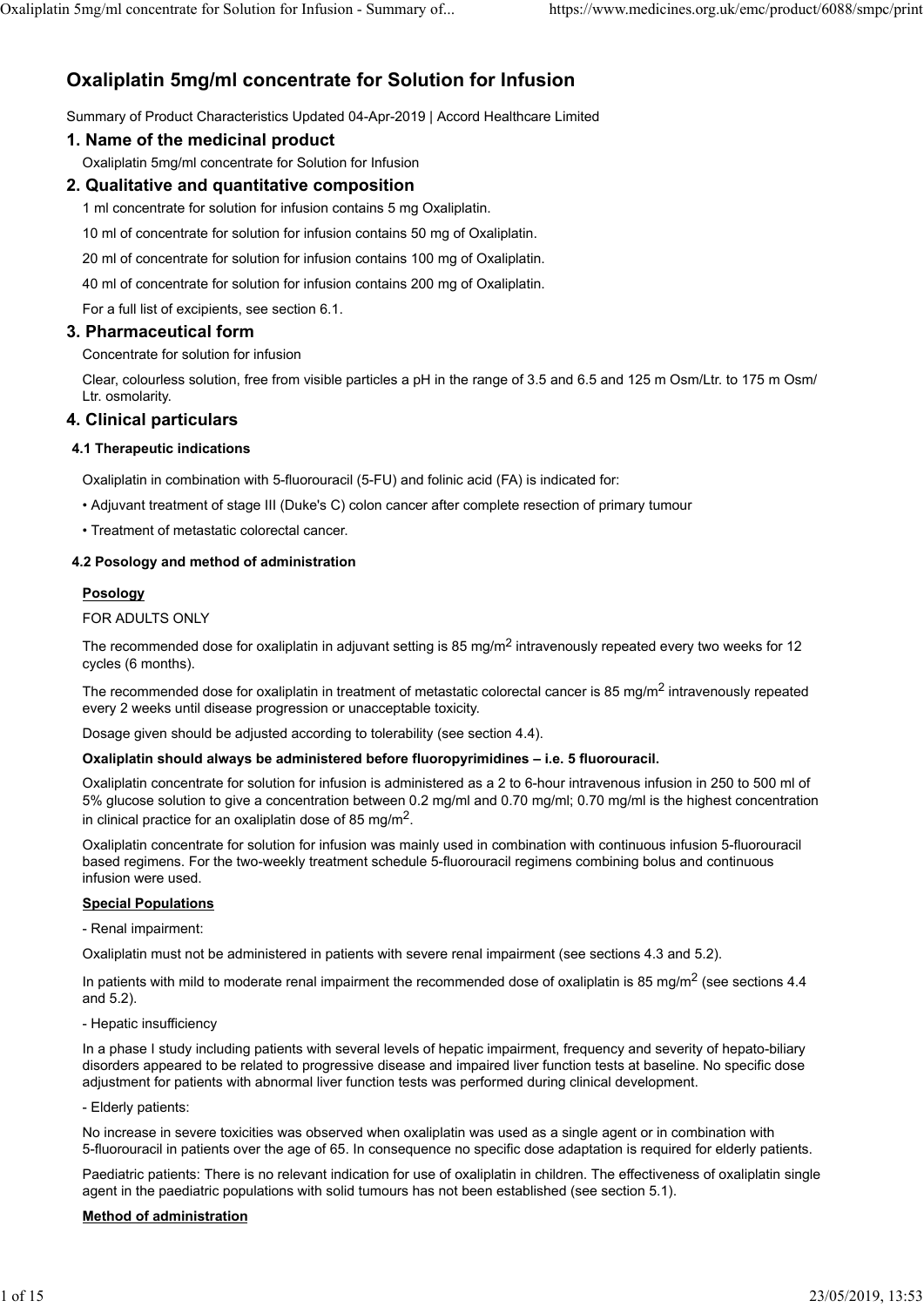# **Oxaliplatin 5mg/ml concentrate for Solution for Infusion**

Summary of Product Characteristics Updated 04-Apr-2019 | Accord Healthcare Limited

# **1. Name of the medicinal product**

Oxaliplatin 5mg/ml concentrate for Solution for Infusion

# **2. Qualitative and quantitative composition**

1 ml concentrate for solution for infusion contains 5 mg Oxaliplatin.

10 ml of concentrate for solution for infusion contains 50 mg of Oxaliplatin.

20 ml of concentrate for solution for infusion contains 100 mg of Oxaliplatin.

40 ml of concentrate for solution for infusion contains 200 mg of Oxaliplatin.

For a full list of excipients, see section 6.1.

# **3. Pharmaceutical form**

Concentrate for solution for infusion

Clear, colourless solution, free from visible particles a pH in the range of 3.5 and 6.5 and 125 m Osm/Ltr. to 175 m Osm/ Ltr. osmolarity.

# **4. Clinical particulars**

### **4.1 Therapeutic indications**

Oxaliplatin in combination with 5-fluorouracil (5-FU) and folinic acid (FA) is indicated for:

- Adjuvant treatment of stage III (Duke's C) colon cancer after complete resection of primary tumour
- Treatment of metastatic colorectal cancer.

### **4.2 Posology and method of administration**

### **Posology**

### FOR ADULTS ONLY

The recommended dose for oxaliplatin in adjuvant setting is 85 mg/m<sup>2</sup> intravenously repeated every two weeks for 12 cycles (6 months).

The recommended dose for oxaliplatin in treatment of metastatic colorectal cancer is 85 mg/m<sup>2</sup> intravenously repeated every 2 weeks until disease progression or unacceptable toxicity.

Dosage given should be adjusted according to tolerability (see section 4.4).

### **Oxaliplatin should always be administered before fluoropyrimidines – i.e. 5 fluorouracil.**

Oxaliplatin concentrate for solution for infusion is administered as a 2 to 6-hour intravenous infusion in 250 to 500 ml of 5% glucose solution to give a concentration between 0.2 mg/ml and 0.70 mg/ml; 0.70 mg/ml is the highest concentration in clinical practice for an oxaliplatin dose of 85 mg/m2.

Oxaliplatin concentrate for solution for infusion was mainly used in combination with continuous infusion 5-fluorouracil based regimens. For the two-weekly treatment schedule 5-fluorouracil regimens combining bolus and continuous infusion were used.

### **Special Populations**

- Renal impairment:

Oxaliplatin must not be administered in patients with severe renal impairment (see sections 4.3 and 5.2).

In patients with mild to moderate renal impairment the recommended dose of oxaliplatin is 85 mg/m<sup>2</sup> (see sections 4.4 and 5.2).

- Hepatic insufficiency

In a phase I study including patients with several levels of hepatic impairment, frequency and severity of hepato-biliary disorders appeared to be related to progressive disease and impaired liver function tests at baseline. No specific dose adjustment for patients with abnormal liver function tests was performed during clinical development.

- Elderly patients:

No increase in severe toxicities was observed when oxaliplatin was used as a single agent or in combination with 5-fluorouracil in patients over the age of 65. In consequence no specific dose adaptation is required for elderly patients.

Paediatric patients: There is no relevant indication for use of oxaliplatin in children. The effectiveness of oxaliplatin single agent in the paediatric populations with solid tumours has not been established (see section 5.1).

### **Method of administration**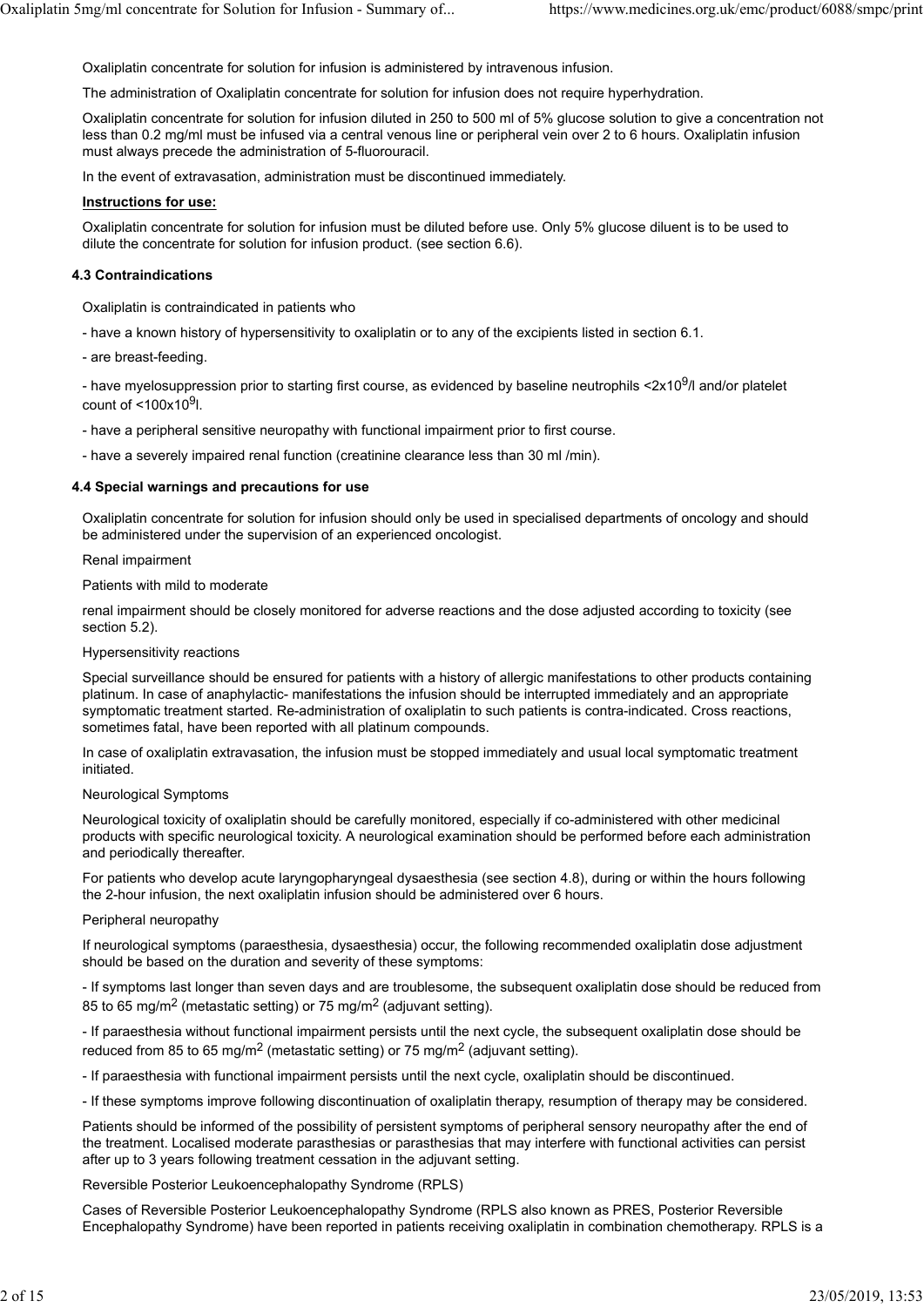Oxaliplatin concentrate for solution for infusion is administered by intravenous infusion.

The administration of Oxaliplatin concentrate for solution for infusion does not require hyperhydration.

Oxaliplatin concentrate for solution for infusion diluted in 250 to 500 ml of 5% glucose solution to give a concentration not less than 0.2 mg/ml must be infused via a central venous line or peripheral vein over 2 to 6 hours. Oxaliplatin infusion must always precede the administration of 5-fluorouracil.

In the event of extravasation, administration must be discontinued immediately.

### **Instructions for use:**

Oxaliplatin concentrate for solution for infusion must be diluted before use. Only 5% glucose diluent is to be used to dilute the concentrate for solution for infusion product. (see section 6.6).

### **4.3 Contraindications**

Oxaliplatin is contraindicated in patients who

- have a known history of hypersensitivity to oxaliplatin or to any of the excipients listed in section 6.1.
- are breast-feeding.

- have myelosuppression prior to starting first course, as evidenced by baseline neutrophils <2x10<sup>9</sup>/l and/or platelet count of  $<$ 100x10 $9$ l.

- have a peripheral sensitive neuropathy with functional impairment prior to first course.
- have a severely impaired renal function (creatinine clearance less than 30 ml /min).

### **4.4 Special warnings and precautions for use**

Oxaliplatin concentrate for solution for infusion should only be used in specialised departments of oncology and should be administered under the supervision of an experienced oncologist.

#### Renal impairment

Patients with mild to moderate

renal impairment should be closely monitored for adverse reactions and the dose adjusted according to toxicity (see section 5.2).

#### Hypersensitivity reactions

Special surveillance should be ensured for patients with a history of allergic manifestations to other products containing platinum. In case of anaphylactic- manifestations the infusion should be interrupted immediately and an appropriate symptomatic treatment started. Re-administration of oxaliplatin to such patients is contra-indicated. Cross reactions, sometimes fatal, have been reported with all platinum compounds.

In case of oxaliplatin extravasation, the infusion must be stopped immediately and usual local symptomatic treatment initiated.

#### Neurological Symptoms

Neurological toxicity of oxaliplatin should be carefully monitored, especially if co-administered with other medicinal products with specific neurological toxicity. A neurological examination should be performed before each administration and periodically thereafter.

For patients who develop acute laryngopharyngeal dysaesthesia (see section 4.8), during or within the hours following the 2-hour infusion, the next oxaliplatin infusion should be administered over 6 hours.

#### Peripheral neuropathy

If neurological symptoms (paraesthesia, dysaesthesia) occur, the following recommended oxaliplatin dose adjustment should be based on the duration and severity of these symptoms:

- If symptoms last longer than seven days and are troublesome, the subsequent oxaliplatin dose should be reduced from 85 to 65 mg/m<sup>2</sup> (metastatic setting) or 75 mg/m<sup>2</sup> (adjuvant setting).

- If paraesthesia without functional impairment persists until the next cycle, the subsequent oxaliplatin dose should be reduced from 85 to 65 mg/m<sup>2</sup> (metastatic setting) or 75 mg/m<sup>2</sup> (adjuvant setting).

- If paraesthesia with functional impairment persists until the next cycle, oxaliplatin should be discontinued.

- If these symptoms improve following discontinuation of oxaliplatin therapy, resumption of therapy may be considered.

Patients should be informed of the possibility of persistent symptoms of peripheral sensory neuropathy after the end of the treatment. Localised moderate parasthesias or parasthesias that may interfere with functional activities can persist after up to 3 years following treatment cessation in the adjuvant setting.

Reversible Posterior Leukoencephalopathy Syndrome (RPLS)

Cases of Reversible Posterior Leukoencephalopathy Syndrome (RPLS also known as PRES, Posterior Reversible Encephalopathy Syndrome) have been reported in patients receiving oxaliplatin in combination chemotherapy. RPLS is a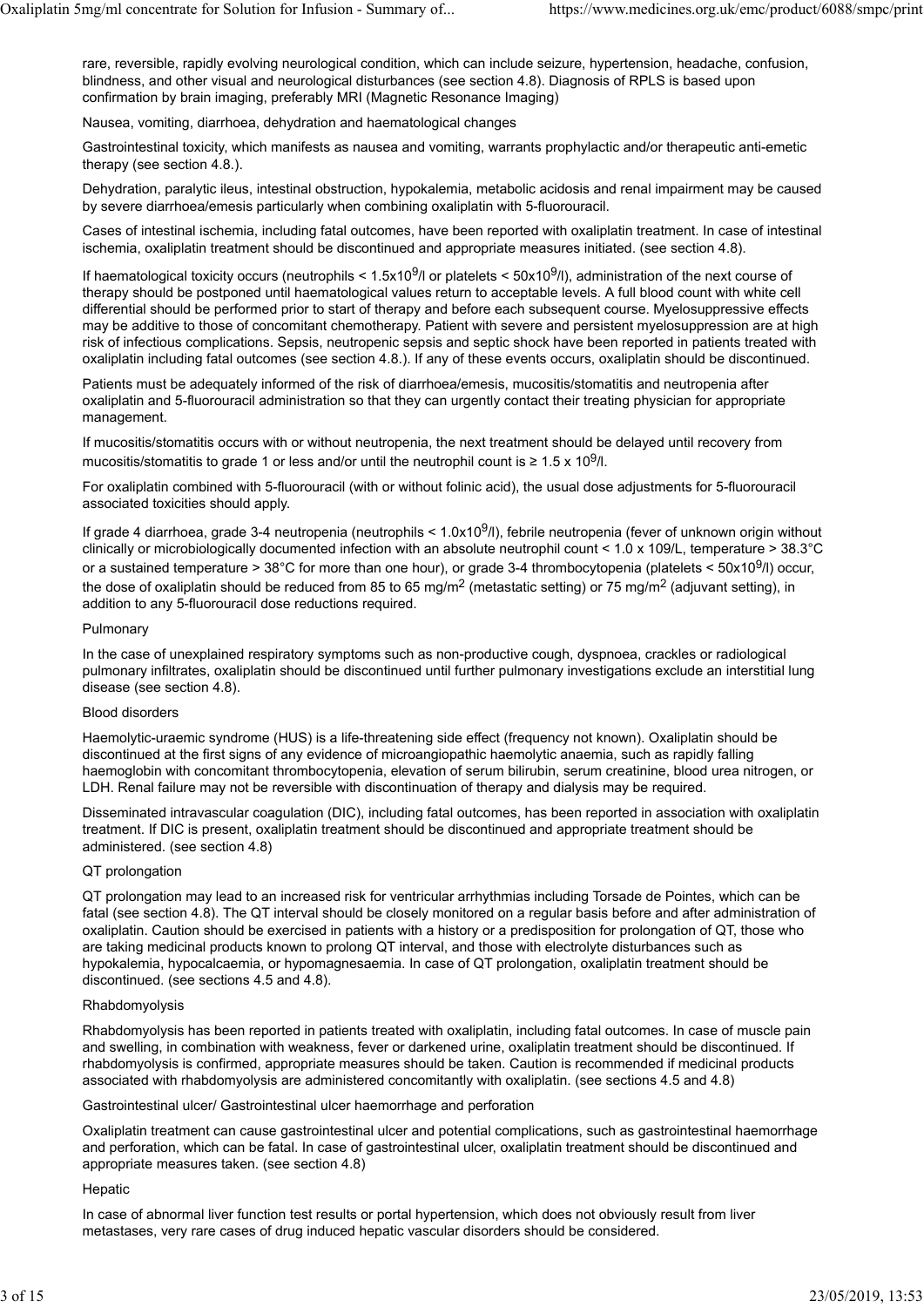rare, reversible, rapidly evolving neurological condition, which can include seizure, hypertension, headache, confusion, blindness, and other visual and neurological disturbances (see section 4.8). Diagnosis of RPLS is based upon confirmation by brain imaging, preferably MRI (Magnetic Resonance Imaging)

Nausea, vomiting, diarrhoea, dehydration and haematological changes

Gastrointestinal toxicity, which manifests as nausea and vomiting, warrants prophylactic and/or therapeutic anti-emetic therapy (see section 4.8.).

Dehydration, paralytic ileus, intestinal obstruction, hypokalemia, metabolic acidosis and renal impairment may be caused by severe diarrhoea/emesis particularly when combining oxaliplatin with 5-fluorouracil.

Cases of intestinal ischemia, including fatal outcomes, have been reported with oxaliplatin treatment. In case of intestinal ischemia, oxaliplatin treatment should be discontinued and appropriate measures initiated. (see section 4.8).

If haematological toxicity occurs (neutrophils <  $1.5x10<sup>9</sup>/$  or platelets <  $50x10<sup>9</sup>/$ ), administration of the next course of therapy should be postponed until haematological values return to acceptable levels. A full blood count with white cell differential should be performed prior to start of therapy and before each subsequent course. Myelosuppressive effects may be additive to those of concomitant chemotherapy. Patient with severe and persistent myelosuppression are at high risk of infectious complications. Sepsis, neutropenic sepsis and septic shock have been reported in patients treated with oxaliplatin including fatal outcomes (see section 4.8.). If any of these events occurs, oxaliplatin should be discontinued.

Patients must be adequately informed of the risk of diarrhoea/emesis, mucositis/stomatitis and neutropenia after oxaliplatin and 5-fluorouracil administration so that they can urgently contact their treating physician for appropriate management.

If mucositis/stomatitis occurs with or without neutropenia, the next treatment should be delayed until recovery from mucositis/stomatitis to grade 1 or less and/or until the neutrophil count is  $\geq 1.5 \times 10^9$ /l.

For oxaliplatin combined with 5-fluorouracil (with or without folinic acid), the usual dose adjustments for 5-fluorouracil associated toxicities should apply.

If grade 4 diarrhoea, grade 3-4 neutropenia (neutrophils <  $1.0x10<sup>9</sup>/l$ ), febrile neutropenia (fever of unknown origin without clinically or microbiologically documented infection with an absolute neutrophil count < 1.0 x 109/L, temperature > 38.3°C or a sustained temperature > 38°C for more than one hour), or grade 3-4 thrombocytopenia (platelets < 50x10<sup>9</sup>/l) occur, the dose of oxaliplatin should be reduced from 85 to 65 mg/m<sup>2</sup> (metastatic setting) or 75 mg/m<sup>2</sup> (adjuvant setting), in addition to any 5-fluorouracil dose reductions required.

#### Pulmonary

In the case of unexplained respiratory symptoms such as non-productive cough, dyspnoea, crackles or radiological pulmonary infiltrates, oxaliplatin should be discontinued until further pulmonary investigations exclude an interstitial lung disease (see section 4.8).

#### Blood disorders

Haemolytic-uraemic syndrome (HUS) is a life-threatening side effect (frequency not known). Oxaliplatin should be discontinued at the first signs of any evidence of microangiopathic haemolytic anaemia, such as rapidly falling haemoglobin with concomitant thrombocytopenia, elevation of serum bilirubin, serum creatinine, blood urea nitrogen, or LDH. Renal failure may not be reversible with discontinuation of therapy and dialysis may be required.

Disseminated intravascular coagulation (DIC), including fatal outcomes, has been reported in association with oxaliplatin treatment. If DIC is present, oxaliplatin treatment should be discontinued and appropriate treatment should be administered. (see section 4.8)

### QT prolongation

QT prolongation may lead to an increased risk for ventricular arrhythmias including Torsade de Pointes, which can be fatal (see section 4.8). The QT interval should be closely monitored on a regular basis before and after administration of oxaliplatin. Caution should be exercised in patients with a history or a predisposition for prolongation of QT, those who are taking medicinal products known to prolong QT interval, and those with electrolyte disturbances such as hypokalemia, hypocalcaemia, or hypomagnesaemia. In case of QT prolongation, oxaliplatin treatment should be discontinued. (see sections 4.5 and 4.8).

#### Rhabdomyolysis

Rhabdomyolysis has been reported in patients treated with oxaliplatin, including fatal outcomes. In case of muscle pain and swelling, in combination with weakness, fever or darkened urine, oxaliplatin treatment should be discontinued. If rhabdomyolysis is confirmed, appropriate measures should be taken. Caution is recommended if medicinal products associated with rhabdomyolysis are administered concomitantly with oxaliplatin. (see sections 4.5 and 4.8)

Gastrointestinal ulcer/ Gastrointestinal ulcer haemorrhage and perforation

Oxaliplatin treatment can cause gastrointestinal ulcer and potential complications, such as gastrointestinal haemorrhage and perforation, which can be fatal. In case of gastrointestinal ulcer, oxaliplatin treatment should be discontinued and appropriate measures taken. (see section 4.8)

#### **Hepatic**

In case of abnormal liver function test results or portal hypertension, which does not obviously result from liver metastases, very rare cases of drug induced hepatic vascular disorders should be considered.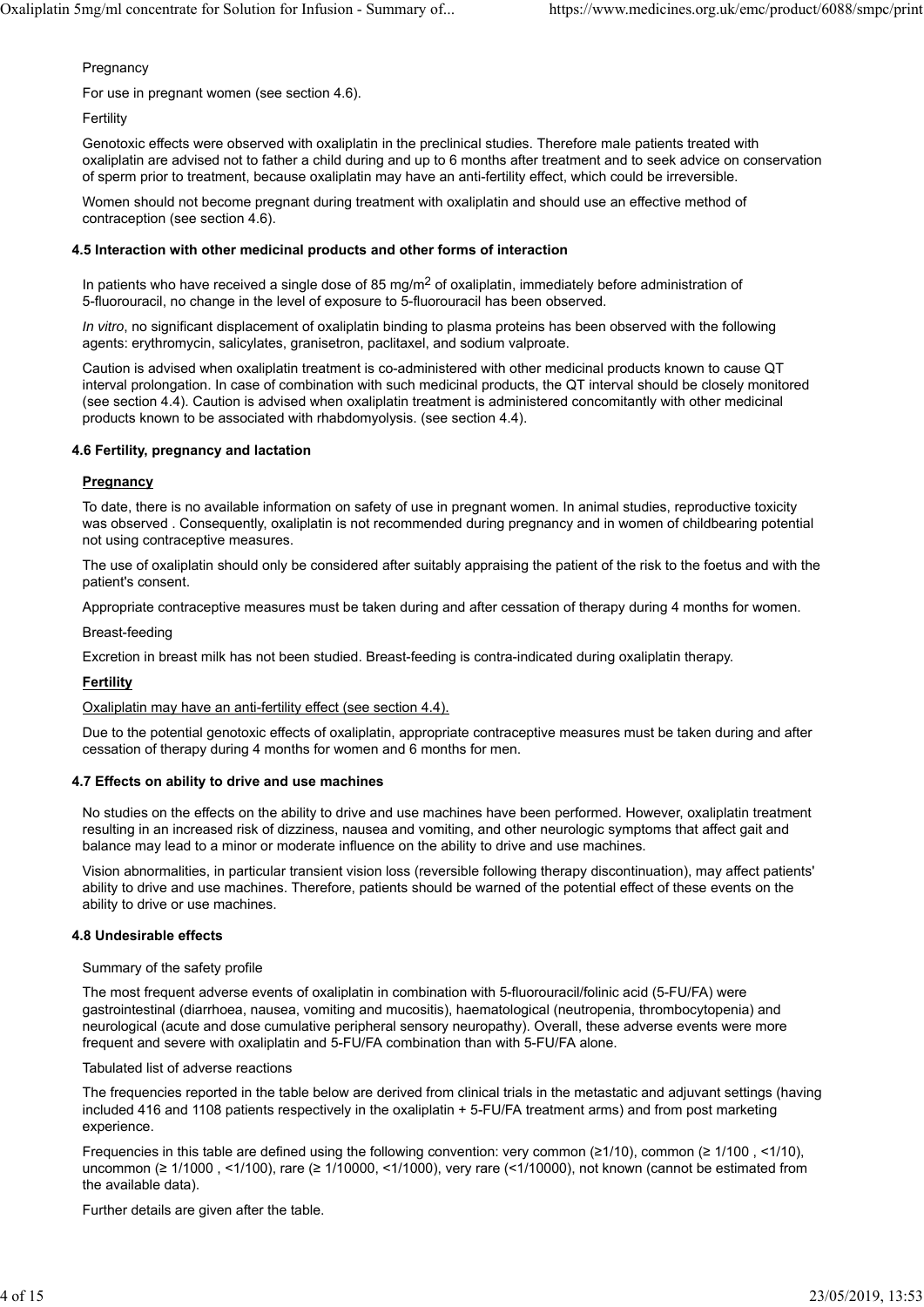**Pregnancy** 

For use in pregnant women (see section 4.6).

### Fertility

Genotoxic effects were observed with oxaliplatin in the preclinical studies. Therefore male patients treated with oxaliplatin are advised not to father a child during and up to 6 months after treatment and to seek advice on conservation of sperm prior to treatment, because oxaliplatin may have an anti-fertility effect, which could be irreversible.

Women should not become pregnant during treatment with oxaliplatin and should use an effective method of contraception (see section 4.6).

# **4.5 Interaction with other medicinal products and other forms of interaction**

In patients who have received a single dose of 85 mg/m<sup>2</sup> of oxaliplatin, immediately before administration of 5-fluorouracil, no change in the level of exposure to 5-fluorouracil has been observed.

*In vitro*, no significant displacement of oxaliplatin binding to plasma proteins has been observed with the following agents: erythromycin, salicylates, granisetron, paclitaxel, and sodium valproate.

Caution is advised when oxaliplatin treatment is co-administered with other medicinal products known to cause QT interval prolongation. In case of combination with such medicinal products, the QT interval should be closely monitored (see section 4.4). Caution is advised when oxaliplatin treatment is administered concomitantly with other medicinal products known to be associated with rhabdomyolysis. (see section 4.4).

### **4.6 Fertility, pregnancy and lactation**

### **Pregnancy**

To date, there is no available information on safety of use in pregnant women. In animal studies, reproductive toxicity was observed . Consequently, oxaliplatin is not recommended during pregnancy and in women of childbearing potential not using contraceptive measures.

The use of oxaliplatin should only be considered after suitably appraising the patient of the risk to the foetus and with the patient's consent.

Appropriate contraceptive measures must be taken during and after cessation of therapy during 4 months for women.

Breast-feeding

Excretion in breast milk has not been studied. Breast-feeding is contra-indicated during oxaliplatin therapy.

#### **Fertility**

#### Oxaliplatin may have an anti-fertility effect (see section 4.4).

Due to the potential genotoxic effects of oxaliplatin, appropriate contraceptive measures must be taken during and after cessation of therapy during 4 months for women and 6 months for men.

#### **4.7 Effects on ability to drive and use machines**

No studies on the effects on the ability to drive and use machines have been performed. However, oxaliplatin treatment resulting in an increased risk of dizziness, nausea and vomiting, and other neurologic symptoms that affect gait and balance may lead to a minor or moderate influence on the ability to drive and use machines.

Vision abnormalities, in particular transient vision loss (reversible following therapy discontinuation), may affect patients' ability to drive and use machines. Therefore, patients should be warned of the potential effect of these events on the ability to drive or use machines.

#### **4.8 Undesirable effects**

#### Summary of the safety profile

The most frequent adverse events of oxaliplatin in combination with 5-fluorouracil/folinic acid (5-FU/FA) were gastrointestinal (diarrhoea, nausea, vomiting and mucositis), haematological (neutropenia, thrombocytopenia) and neurological (acute and dose cumulative peripheral sensory neuropathy). Overall, these adverse events were more frequent and severe with oxaliplatin and 5-FU/FA combination than with 5-FU/FA alone.

Tabulated list of adverse reactions

The frequencies reported in the table below are derived from clinical trials in the metastatic and adjuvant settings (having included 416 and 1108 patients respectively in the oxaliplatin + 5-FU/FA treatment arms) and from post marketing experience.

Frequencies in this table are defined using the following convention: very common (≥1/10), common (≥ 1/100 , <1/10), uncommon (≥ 1/1000 , <1/100), rare (≥ 1/10000, <1/1000), very rare (<1/10000), not known (cannot be estimated from the available data).

Further details are given after the table.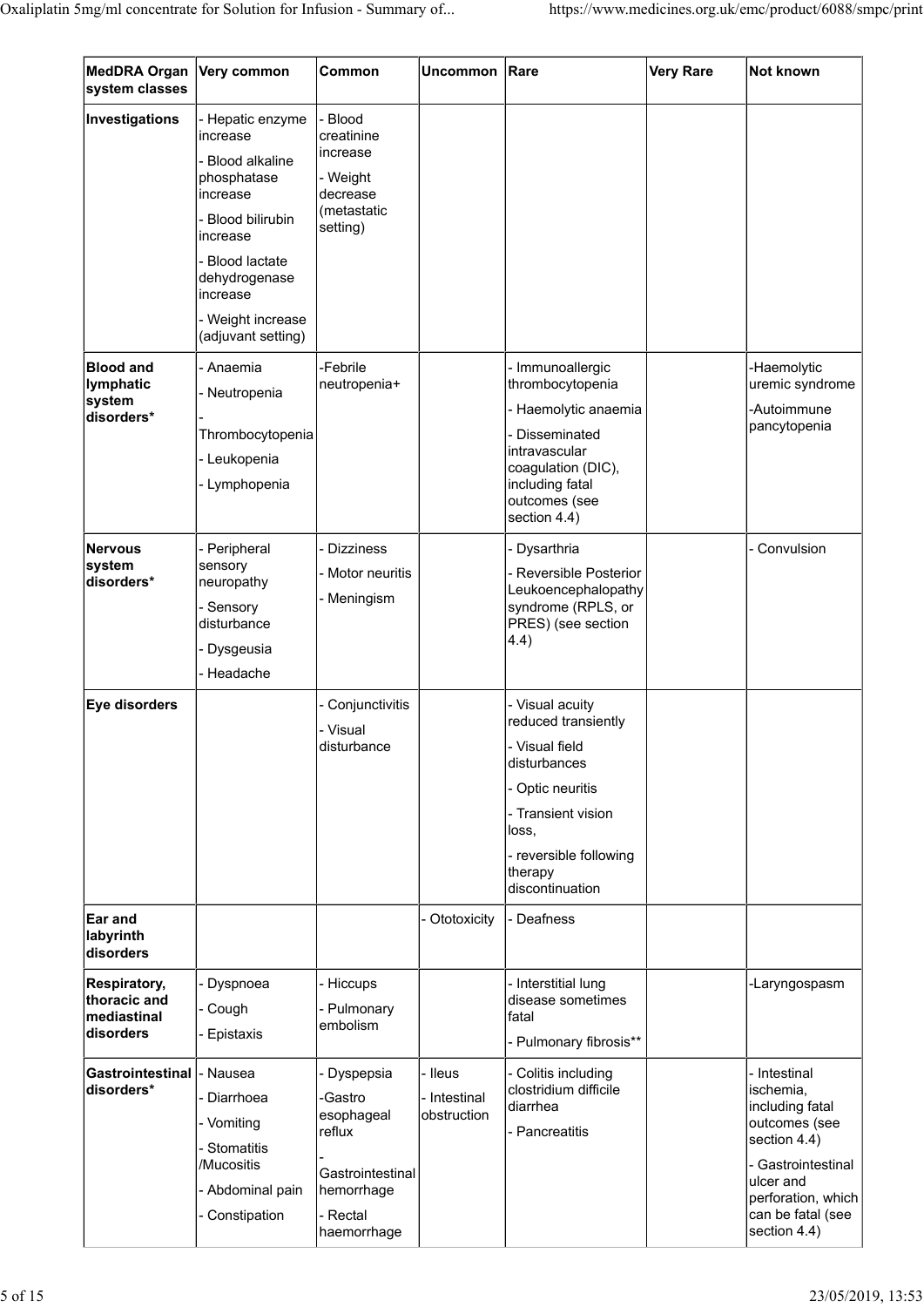| <b>MedDRA Organ</b><br>system classes                    | Very common                                                                                                                                                                                             | Common                                                                                                          | <b>Uncommon</b>                      | Rare                                                                                                                                                                                | <b>Very Rare</b> | Not known                                                                                                                                                                 |
|----------------------------------------------------------|---------------------------------------------------------------------------------------------------------------------------------------------------------------------------------------------------------|-----------------------------------------------------------------------------------------------------------------|--------------------------------------|-------------------------------------------------------------------------------------------------------------------------------------------------------------------------------------|------------------|---------------------------------------------------------------------------------------------------------------------------------------------------------------------------|
| Investigations                                           | - Hepatic enzyme<br>increase<br>- Blood alkaline<br>phosphatase<br>increase<br>- Blood bilirubin<br>increase<br>- Blood lactate<br>dehydrogenase<br>increase<br>- Weight increase<br>(adjuvant setting) | - Blood<br>creatinine<br>increase<br>- Weight<br>decrease<br>(metastatic<br>setting)                            |                                      |                                                                                                                                                                                     |                  |                                                                                                                                                                           |
| <b>Blood and</b><br>lymphatic<br>system<br>disorders*    | - Anaemia<br>- Neutropenia<br>Thrombocytopenia<br>- Leukopenia<br>- Lymphopenia                                                                                                                         | -Febrile<br>neutropenia+                                                                                        |                                      | Immunoallergic<br>thrombocytopenia<br>Haemolytic anaemia<br>Disseminated<br>intravascular<br>coagulation (DIC),<br>including fatal<br>outcomes (see<br>section 4.4)                 |                  | -Haemolytic<br>uremic syndrome<br>-Autoimmune<br>pancytopenia                                                                                                             |
| <b>Nervous</b><br>system<br>disorders*                   | - Peripheral<br>sensory<br>neuropathy<br>- Sensory<br>disturbance<br>Dysgeusia<br>- Headache                                                                                                            | <b>Dizziness</b><br>Motor neuritis<br>Meningism                                                                 |                                      | Dysarthria<br>Reversible Posterior<br>Leukoencephalopathy<br>syndrome (RPLS, or<br>PRES) (see section<br>4.4)                                                                       |                  | Convulsion                                                                                                                                                                |
| Eye disorders                                            |                                                                                                                                                                                                         | Conjunctivitis<br>- Visual<br>disturbance                                                                       |                                      | - Visual acuity<br>reduced transiently<br>- Visual field<br>disturbances<br>- Optic neuritis<br>- Transient vision<br>loss.<br>- reversible following<br>therapy<br>discontinuation |                  |                                                                                                                                                                           |
| Ear and<br>labyrinth<br>disorders                        |                                                                                                                                                                                                         |                                                                                                                 | Ototoxicity                          | - Deafness                                                                                                                                                                          |                  |                                                                                                                                                                           |
| Respiratory,<br>thoracic and<br>mediastinal<br>disorders | - Dyspnoea<br>Cough<br>- Epistaxis                                                                                                                                                                      | <b>Hiccups</b><br>Pulmonary<br>embolism                                                                         |                                      | - Interstitial lung<br>disease sometimes<br>fatal<br>Pulmonary fibrosis**                                                                                                           |                  | -Laryngospasm                                                                                                                                                             |
| <b>Gastrointestinal</b><br>disorders*                    | - Nausea<br>Diarrhoea<br>- Vomiting<br>Stomatitis<br>/Mucositis<br>- Abdominal pain<br>- Constipation                                                                                                   | Dyspepsia<br><b>Gastro</b><br>esophageal<br>reflux<br>Gastrointestinal<br>hemorrhage<br>- Rectal<br>haemorrhage | - Ileus<br>Intestinal<br>obstruction | Colitis including<br>clostridium difficile<br>diarrhea<br>- Pancreatitis                                                                                                            |                  | Intestinal<br>ischemia,<br>including fatal<br>outcomes (see<br>section 4.4)<br>- Gastrointestinal<br>ulcer and<br>perforation, which<br>can be fatal (see<br>section 4.4) |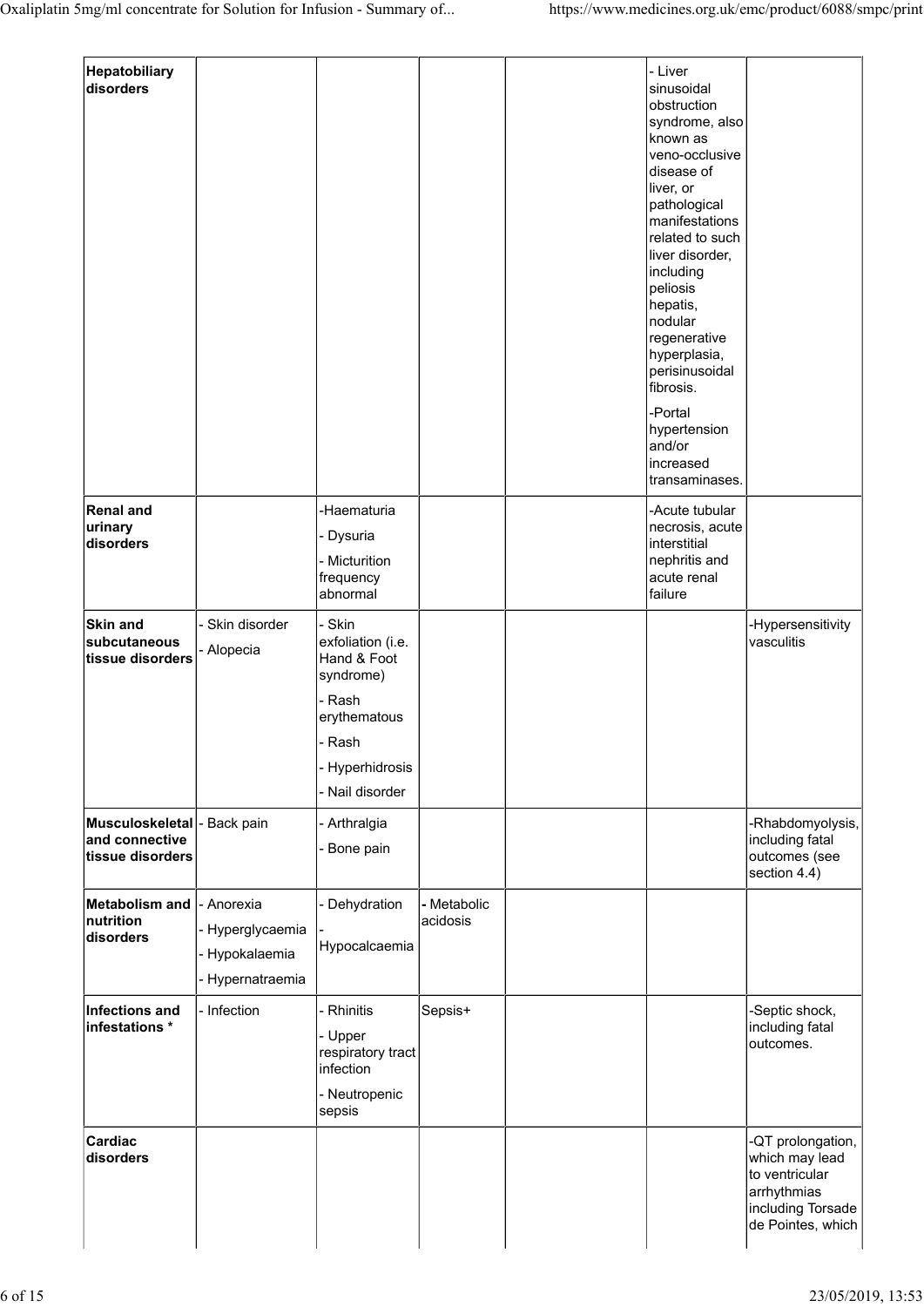| Hepatobiliary<br>disorders                                         |                                                                      |                                                                                                                                   |                         | - Liver<br>sinusoidal<br>obstruction<br>syndrome, also<br>known as<br>veno-occlusive<br>disease of<br>liver, or<br>pathological<br>manifestations<br>related to such<br>liver disorder,<br>including<br>peliosis<br>hepatis,<br>nodular<br>regenerative<br>hyperplasia,<br>perisinusoidal<br>fibrosis.<br>-Portal<br>hypertension<br>and/or<br>increased<br>transaminases. |                                                                                                                |
|--------------------------------------------------------------------|----------------------------------------------------------------------|-----------------------------------------------------------------------------------------------------------------------------------|-------------------------|----------------------------------------------------------------------------------------------------------------------------------------------------------------------------------------------------------------------------------------------------------------------------------------------------------------------------------------------------------------------------|----------------------------------------------------------------------------------------------------------------|
| <b>Renal and</b><br>urinary<br>disorders                           |                                                                      | -Haematuria<br>- Dysuria<br>- Micturition<br>frequency<br>abnormal                                                                |                         | -Acute tubular<br>necrosis, acute<br>interstitial<br>nephritis and<br>acute renal<br>failure                                                                                                                                                                                                                                                                               |                                                                                                                |
| Skin and<br>subcutaneous<br>tissue disorders                       | - Skin disorder<br>- Alopecia                                        | - Skin<br>exfoliation (i.e.<br>Hand & Foot<br>syndrome)<br>- Rash<br>erythematous<br>- Rash<br>- Hyperhidrosis<br>- Nail disorder |                         |                                                                                                                                                                                                                                                                                                                                                                            | -Hypersensitivity<br>vasculitis                                                                                |
| Musculoskeletal  - Back pain<br>and connective<br>tissue disorders |                                                                      | - Arthralgia<br>Bone pain                                                                                                         |                         |                                                                                                                                                                                                                                                                                                                                                                            | -Rhabdomyolysis,<br>including fatal<br>outcomes (see<br>section 4.4)                                           |
| Metabolism and<br>nutrition<br>disorders                           | - Anorexia<br>- Hyperglycaemia<br>- Hypokalaemia<br>- Hypernatraemia | Dehydration<br>Hypocalcaemia                                                                                                      | - Metabolic<br>acidosis |                                                                                                                                                                                                                                                                                                                                                                            |                                                                                                                |
| Infections and<br>infestations *                                   | - Infection                                                          | Rhinitis<br>- Upper<br>respiratory tract<br>infection<br>- Neutropenic<br>sepsis                                                  | Sepsis+                 |                                                                                                                                                                                                                                                                                                                                                                            | -Septic shock,<br>including fatal<br>outcomes.                                                                 |
| Cardiac<br>disorders                                               |                                                                      |                                                                                                                                   |                         |                                                                                                                                                                                                                                                                                                                                                                            | -QT prolongation,<br>which may lead<br>to ventricular<br>arrhythmias<br>including Torsade<br>de Pointes, which |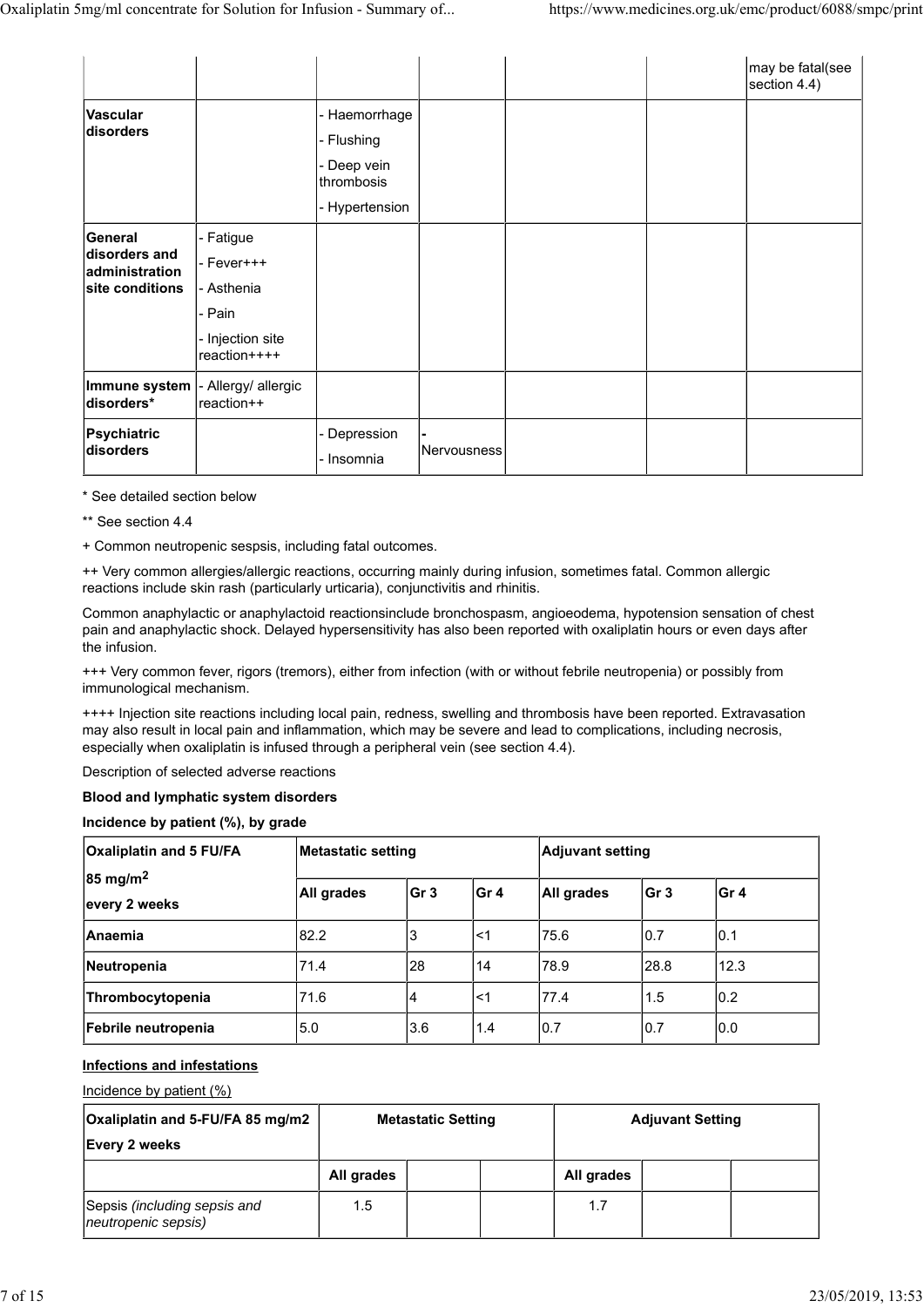|                                                               |                                                                                     |                                                                            |             |  | may be fatal(see<br>section 4.4) |
|---------------------------------------------------------------|-------------------------------------------------------------------------------------|----------------------------------------------------------------------------|-------------|--|----------------------------------|
| <b>Vascular</b><br>disorders                                  |                                                                                     | - Haemorrhage<br>- Flushing<br>- Deep vein<br>thrombosis<br>- Hypertension |             |  |                                  |
| General<br>disorders and<br>administration<br>site conditions | - Fatigue<br>- Fever+++<br>- Asthenia<br>- Pain<br>- Injection site<br>reaction++++ |                                                                            |             |  |                                  |
| Immune system<br>disorders*                                   | Allergy/ allergic<br>reaction++                                                     |                                                                            |             |  |                                  |
| <b>Psychiatric</b><br>disorders                               |                                                                                     | Depression<br>- Insomnia                                                   | Nervousness |  |                                  |

\* See detailed section below

\*\* See section 4.4

+ Common neutropenic sespsis, including fatal outcomes.

++ Very common allergies/allergic reactions, occurring mainly during infusion, sometimes fatal. Common allergic reactions include skin rash (particularly urticaria), conjunctivitis and rhinitis.

Common anaphylactic or anaphylactoid reactionsinclude bronchospasm, angioeodema, hypotension sensation of chest pain and anaphylactic shock. Delayed hypersensitivity has also been reported with oxaliplatin hours or even days after the infusion.

+++ Very common fever, rigors (tremors), either from infection (with or without febrile neutropenia) or possibly from immunological mechanism.

++++ Injection site reactions including local pain, redness, swelling and thrombosis have been reported. Extravasation may also result in local pain and inflammation, which may be severe and lead to complications, including necrosis, especially when oxaliplatin is infused through a peripheral vein (see section 4.4).

Description of selected adverse reactions

### **Blood and lymphatic system disorders**

**Incidence by patient (%), by grade**

| <b>Oxaliplatin and 5 FU/FA</b>         | <b>Metastatic setting</b> |       |       | <b>Adjuvant setting</b> |       |                 |
|----------------------------------------|---------------------------|-------|-------|-------------------------|-------|-----------------|
| $ 85 \text{ mg/m}^2 $<br>every 2 weeks | <b>All grades</b>         | lGr 3 | lGr 4 | All grades              | lGr 3 | Gr <sub>4</sub> |
| <b>IAnaemia</b>                        | 82.2                      | 3     | ∣<1   | 75.6                    | 10.7  | 0.1             |
| Neutropenia                            | 71.4                      | 28    | 14    | 78.9                    | 28.8  | 12.3            |
| Thrombocytopenia                       | 71.6                      | 4     | ∣<1   | 77.4                    | 1.5   | 0.2             |
| Febrile neutropenia                    | 5.0                       | 3.6   | 1.4   | 0.7                     | 10.7  | 10.0            |

### **Infections and infestations**

Incidence by patient (%)

| Oxaliplatin and 5-FU/FA 85 mg/m2<br><b>Every 2 weeks</b> | <b>Metastatic Setting</b> |  | <b>Adjuvant Setting</b> |            |  |  |
|----------------------------------------------------------|---------------------------|--|-------------------------|------------|--|--|
|                                                          | All grades                |  |                         | All grades |  |  |
| Sepsis (including sepsis and<br>neutropenic sepsis)      | 1.5                       |  |                         | 1.7        |  |  |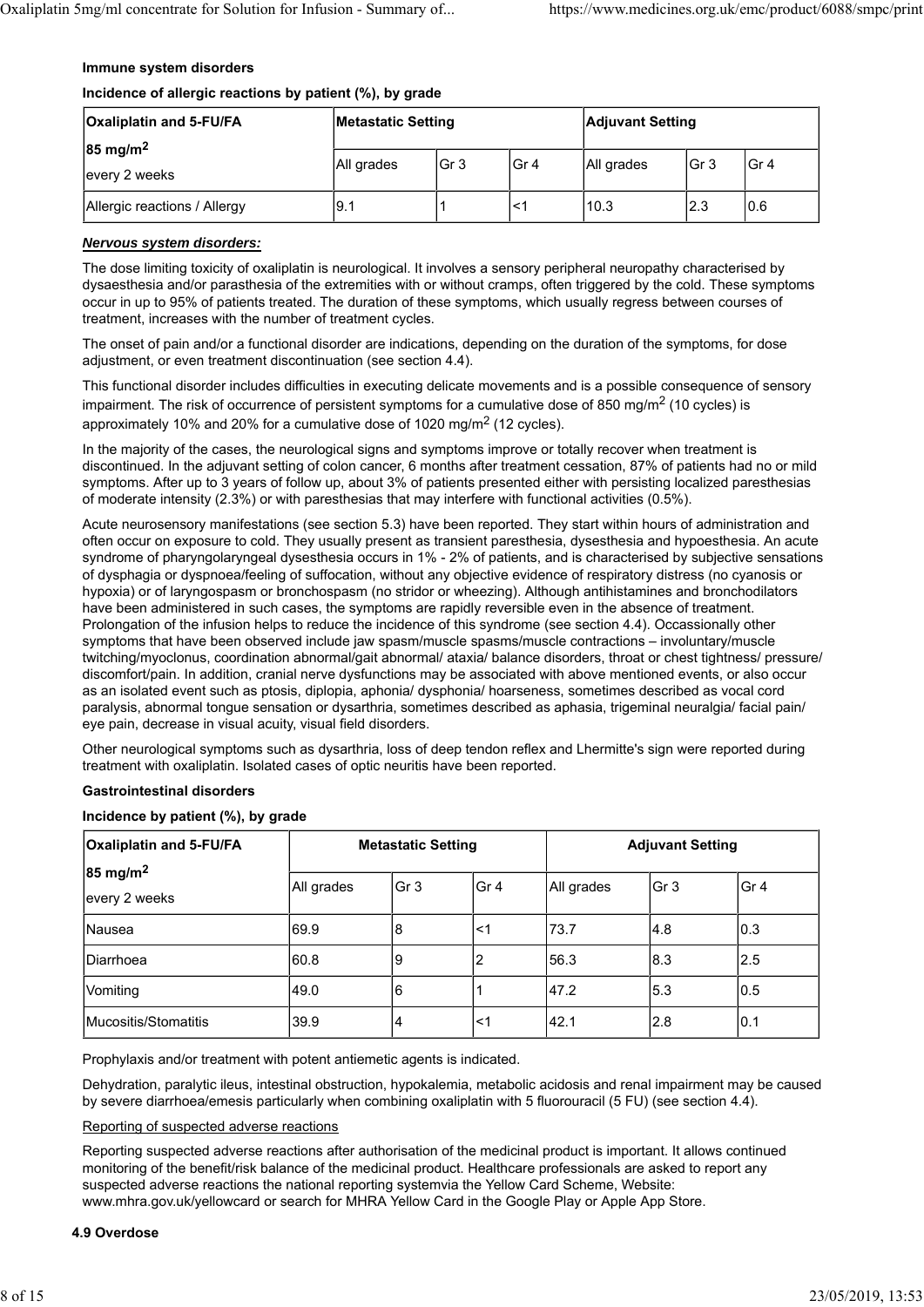### **Immune system disorders**

**Incidence of allergic reactions by patient (%), by grade**

| <b>Oxaliplatin and 5-FU/FA</b>          | Metastatic Setting |                 |                 | <b>Adjuvant Setting</b> |       |                 |
|-----------------------------------------|--------------------|-----------------|-----------------|-------------------------|-------|-----------------|
| $ 85 \text{ mg/m}^2 $<br>levery 2 weeks | All grades         | Gr <sub>3</sub> | Gr <sub>4</sub> | All grades              | lGr 3 | Gr <sub>4</sub> |
| Allergic reactions / Allergy            | 19.1               |                 | <1              | 110.3                   | l2.3  | 10.6            |

# *Nervous system disorders:*

The dose limiting toxicity of oxaliplatin is neurological. It involves a sensory peripheral neuropathy characterised by dysaesthesia and/or parasthesia of the extremities with or without cramps, often triggered by the cold. These symptoms occur in up to 95% of patients treated. The duration of these symptoms, which usually regress between courses of treatment, increases with the number of treatment cycles.

The onset of pain and/or a functional disorder are indications, depending on the duration of the symptoms, for dose adjustment, or even treatment discontinuation (see section 4.4).

This functional disorder includes difficulties in executing delicate movements and is a possible consequence of sensory impairment. The risk of occurrence of persistent symptoms for a cumulative dose of 850 mg/m<sup>2</sup> (10 cycles) is approximately 10% and 20% for a cumulative dose of 1020 mg/m<sup>2</sup> (12 cycles).

In the majority of the cases, the neurological signs and symptoms improve or totally recover when treatment is discontinued. In the adjuvant setting of colon cancer, 6 months after treatment cessation, 87% of patients had no or mild symptoms. After up to 3 years of follow up, about 3% of patients presented either with persisting localized paresthesias of moderate intensity (2.3%) or with paresthesias that may interfere with functional activities (0.5%).

Acute neurosensory manifestations (see section 5.3) have been reported. They start within hours of administration and often occur on exposure to cold. They usually present as transient paresthesia, dysesthesia and hypoesthesia. An acute syndrome of pharyngolaryngeal dysesthesia occurs in 1% - 2% of patients, and is characterised by subjective sensations of dysphagia or dyspnoea/feeling of suffocation, without any objective evidence of respiratory distress (no cyanosis or hypoxia) or of laryngospasm or bronchospasm (no stridor or wheezing). Although antihistamines and bronchodilators have been administered in such cases, the symptoms are rapidly reversible even in the absence of treatment. Prolongation of the infusion helps to reduce the incidence of this syndrome (see section 4.4). Occassionally other symptoms that have been observed include jaw spasm/muscle spasms/muscle contractions – involuntary/muscle twitching/myoclonus, coordination abnormal/gait abnormal/ ataxia/ balance disorders, throat or chest tightness/ pressure/ discomfort/pain. In addition, cranial nerve dysfunctions may be associated with above mentioned events, or also occur as an isolated event such as ptosis, diplopia, aphonia/ dysphonia/ hoarseness, sometimes described as vocal cord paralysis, abnormal tongue sensation or dysarthria, sometimes described as aphasia, trigeminal neuralgia/ facial pain/ eye pain, decrease in visual acuity, visual field disorders.

Other neurological symptoms such as dysarthria, loss of deep tendon reflex and Lhermitte's sign were reported during treatment with oxaliplatin. Isolated cases of optic neuritis have been reported.

# **Gastrointestinal disorders**

### **Incidence by patient (%), by grade**

| <b>Oxaliplatin and 5-FU/FA</b>         | <b>Metastatic Setting</b> |                 |                 | <b>Adjuvant Setting</b> |                 |                 |
|----------------------------------------|---------------------------|-----------------|-----------------|-------------------------|-----------------|-----------------|
| $ 85 \text{ mg/m}^2 $<br>every 2 weeks | All grades                | Gr <sub>3</sub> | Gr <sub>4</sub> | All grades              | Gr <sub>3</sub> | Gr <sub>4</sub> |
| <b>Nausea</b>                          | 69.9                      | 8               | ≤1              | 73.7                    | l4.8            | 0.3             |
| <b>IDiarrhoea</b>                      | 160.8                     | 9               | 2               | 56.3                    | 18.3            | 2.5             |
| Vomiting                               | 49.0                      | 6               |                 | 47.2                    | 5.3             | 0.5             |
| <b>IMucositis/Stomatitis</b>           | 39.9                      | 4               | <1              | 42.1                    | 2.8             | 0.1             |

Prophylaxis and/or treatment with potent antiemetic agents is indicated.

Dehydration, paralytic ileus, intestinal obstruction, hypokalemia, metabolic acidosis and renal impairment may be caused by severe diarrhoea/emesis particularly when combining oxaliplatin with 5 fluorouracil (5 FU) (see section 4.4).

### Reporting of suspected adverse reactions

Reporting suspected adverse reactions after authorisation of the medicinal product is important. It allows continued monitoring of the benefit/risk balance of the medicinal product. Healthcare professionals are asked to report any suspected adverse reactions the national reporting systemvia the Yellow Card Scheme, Website: www.mhra.gov.uk/yellowcard or search for MHRA Yellow Card in the Google Play or Apple App Store.

### **4.9 Overdose**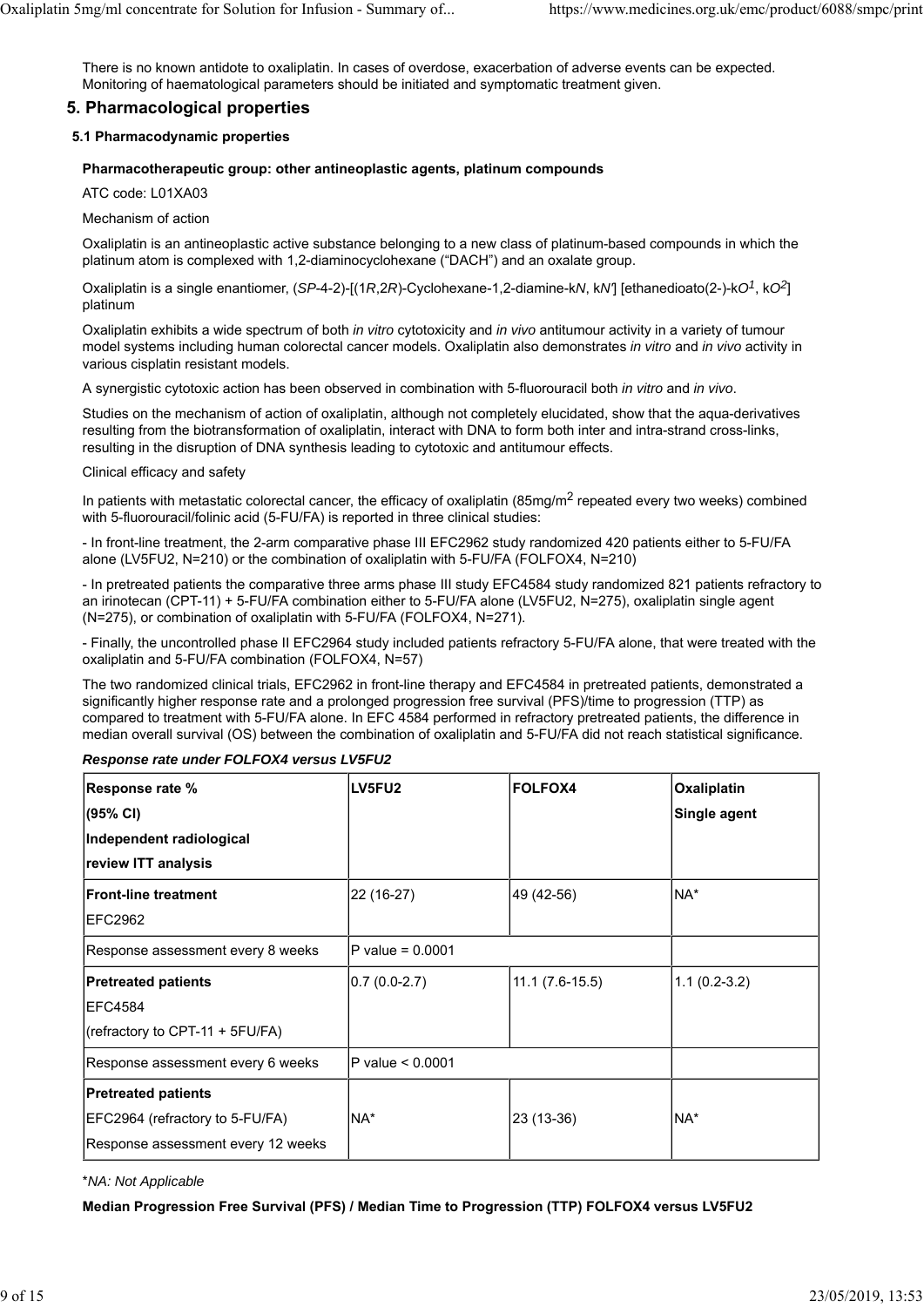There is no known antidote to oxaliplatin. In cases of overdose, exacerbation of adverse events can be expected. Monitoring of haematological parameters should be initiated and symptomatic treatment given.

# **5. Pharmacological properties**

### **5.1 Pharmacodynamic properties**

### **Pharmacotherapeutic group: other antineoplastic agents, platinum compounds**

ATC code: L01XA03

Mechanism of action

Oxaliplatin is an antineoplastic active substance belonging to a new class of platinum-based compounds in which the platinum atom is complexed with 1,2-diaminocyclohexane ("DACH") and an oxalate group.

Oxaliplatin is a single enantiomer, (*SP*-4-2)-[(1*R*,2*R*)-Cyclohexane-1,2-diamine-k*N*, k*N'*] [ethanedioato(2-)-k*O1*, k*O2*] platinum

Oxaliplatin exhibits a wide spectrum of both *in vitro* cytotoxicity and *in vivo* antitumour activity in a variety of tumour model systems including human colorectal cancer models. Oxaliplatin also demonstrates *in vitro* and *in vivo* activity in various cisplatin resistant models.

A synergistic cytotoxic action has been observed in combination with 5-fluorouracil both *in vitro* and *in vivo*.

Studies on the mechanism of action of oxaliplatin, although not completely elucidated, show that the aqua-derivatives resulting from the biotransformation of oxaliplatin, interact with DNA to form both inter and intra-strand cross-links, resulting in the disruption of DNA synthesis leading to cytotoxic and antitumour effects.

Clinical efficacy and safety

In patients with metastatic colorectal cancer, the efficacy of oxaliplatin  $(85mg/m<sup>2</sup>$  repeated every two weeks) combined with 5-fluorouracil/folinic acid (5-FU/FA) is reported in three clinical studies:

- In front-line treatment, the 2-arm comparative phase III EFC2962 study randomized 420 patients either to 5-FU/FA alone (LV5FU2, N=210) or the combination of oxaliplatin with 5-FU/FA (FOLFOX4, N=210)

- In pretreated patients the comparative three arms phase III study EFC4584 study randomized 821 patients refractory to an irinotecan (CPT-11) + 5-FU/FA combination either to 5-FU/FA alone (LV5FU2, N=275), oxaliplatin single agent (N=275), or combination of oxaliplatin with 5-FU/FA (FOLFOX4, N=271).

- Finally, the uncontrolled phase II EFC2964 study included patients refractory 5-FU/FA alone, that were treated with the oxaliplatin and 5-FU/FA combination (FOLFOX4, N=57)

The two randomized clinical trials, EFC2962 in front-line therapy and EFC4584 in pretreated patients, demonstrated a significantly higher response rate and a prolonged progression free survival (PFS)/time to progression (TTP) as compared to treatment with 5-FU/FA alone. In EFC 4584 performed in refractory pretreated patients, the difference in median overall survival (OS) between the combination of oxaliplatin and 5-FU/FA did not reach statistical significance.

| Response rate %<br>(95% CI)<br>Independent radiological<br>review ITT analysis                      | LV5FU2             | <b>FOLFOX4</b>      | Oxaliplatin<br><b>Single agent</b> |
|-----------------------------------------------------------------------------------------------------|--------------------|---------------------|------------------------------------|
| <b>Front-line treatment</b><br><b>EFC2962</b>                                                       | 22 (16-27)         | 49 (42-56)          | NA*                                |
| Response assessment every 8 weeks                                                                   | $P$ value = 0.0001 |                     |                                    |
| <b>Pretreated patients</b><br><b>EFC4584</b><br>(refractory to CPT-11 + 5FU/FA)                     | $0.7(0.0-2.7)$     | $11.1 (7.6 - 15.5)$ | $1.1(0.2-3.2)$                     |
| Response assessment every 6 weeks                                                                   | IP value < 0.0001  |                     |                                    |
| <b>Pretreated patients</b><br>EFC2964 (refractory to 5-FU/FA)<br>Response assessment every 12 weeks | NA*                | 23 (13-36)          | NA*                                |

### *Response rate under FOLFOX4 versus LV5FU2*

\**NA: Not Applicable*

**Median Progression Free Survival (PFS) / Median Time to Progression (TTP) FOLFOX4 versus LV5FU2**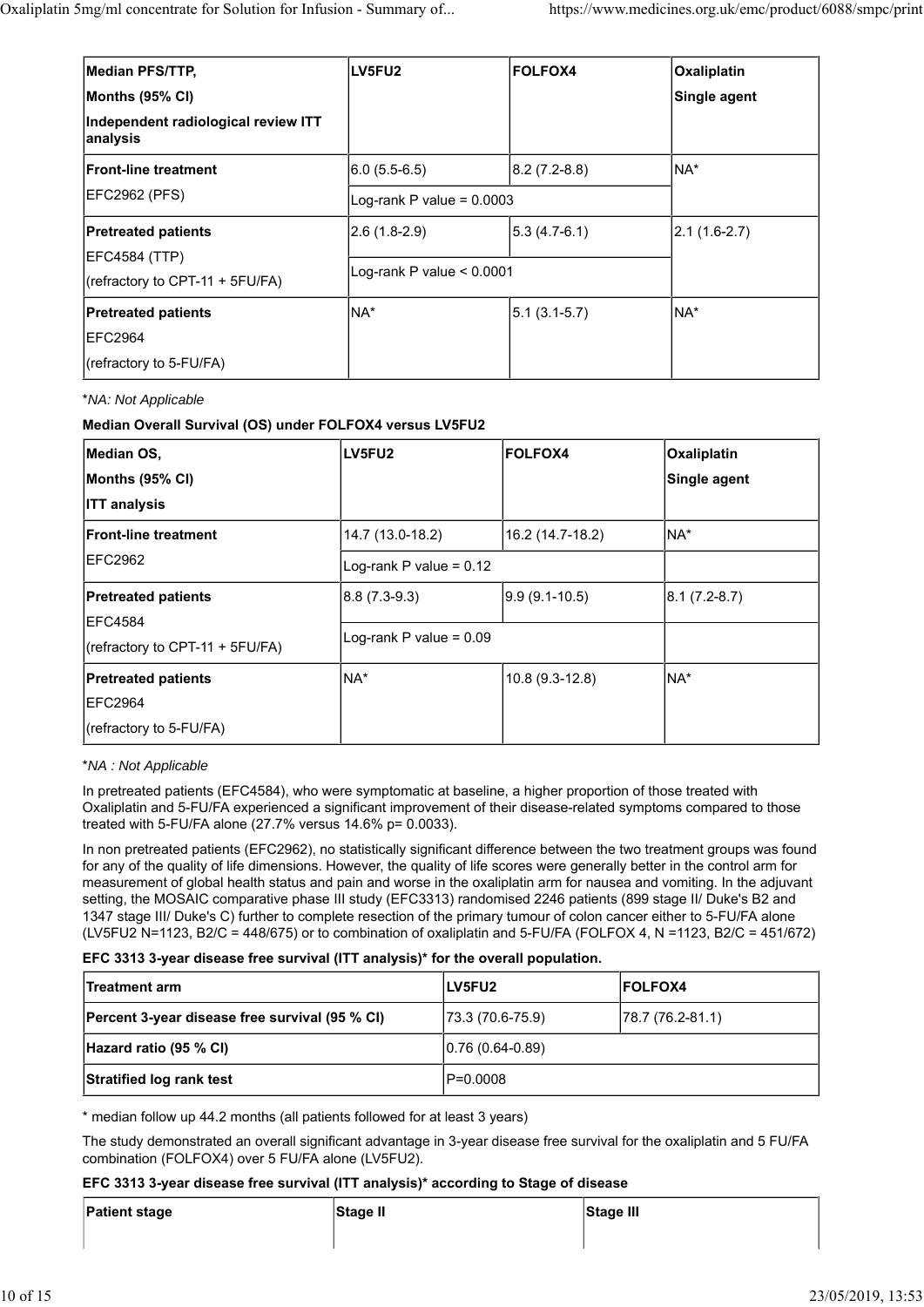| Median PFS/TTP.<br>Months (95% CI)<br>Independent radiological review ITT<br>analysis | LV5FU2                      | <b>FOLFOX4</b>      | Oxaliplatin<br>Single agent |
|---------------------------------------------------------------------------------------|-----------------------------|---------------------|-----------------------------|
| <b>IFront-line treatment</b>                                                          | $6.0(5.5-6.5)$              | 8.2 (7.2-8.8)       | NA*                         |
| EFC2962 (PFS)                                                                         | Log-rank P value = $0.0003$ |                     |                             |
| <b>Pretreated patients</b>                                                            | $2.6(1.8-2.9)$              | $5.3(4.7-6.1)$      | $2.1(1.6-2.7)$              |
| <b>EFC4584 (TTP)</b><br>(refractory to CPT-11 + 5FU/FA)                               | Log-rank P value $< 0.0001$ |                     |                             |
| <b>Pretreated patients</b>                                                            | NA*                         | $ 5.1 (3.1 - 5.7) $ | NA*                         |
| <b>EFC2964</b>                                                                        |                             |                     |                             |
| (refractory to 5-FU/FA)                                                               |                             |                     |                             |

### \**NA: Not Applicable*

### **Median Overall Survival (OS) under FOLFOX4 versus LV5FU2**

| Median OS,<br>Months (95% CI)<br><b>ITT analysis</b>                    | LV5FU2                    | <b>FOLFOX4</b>    | Oxaliplatin<br><b>Single agent</b> |
|-------------------------------------------------------------------------|---------------------------|-------------------|------------------------------------|
| <b>IFront-line treatment</b>                                            | 14.7 (13.0-18.2)          | 16.2 (14.7-18.2)  | INA*                               |
| <b>EFC2962</b>                                                          | Log-rank P value = $0.12$ |                   |                                    |
| <b>Pretreated patients</b>                                              | $8.8(7.3-9.3)$            | $9.9(9.1 - 10.5)$ | 8.1 (7.2-8.7)                      |
| <b>EFC4584</b><br>(refractory to CPT-11 + 5FU/FA)                       | Log-rank P value = $0.09$ |                   |                                    |
| <b>Pretreated patients</b><br><b>EFC2964</b><br>(refractory to 5-FU/FA) | $NA^*$                    | 10.8 (9.3-12.8)   | INA*                               |

### \**NA : Not Applicable*

In pretreated patients (EFC4584), who were symptomatic at baseline, a higher proportion of those treated with Oxaliplatin and 5-FU/FA experienced a significant improvement of their disease-related symptoms compared to those treated with 5-FU/FA alone (27.7% versus 14.6% p= 0.0033).

In non pretreated patients (EFC2962), no statistically significant difference between the two treatment groups was found for any of the quality of life dimensions. However, the quality of life scores were generally better in the control arm for measurement of global health status and pain and worse in the oxaliplatin arm for nausea and vomiting. In the adjuvant setting, the MOSAIC comparative phase III study (EFC3313) randomised 2246 patients (899 stage II/ Duke's B2 and 1347 stage III/ Duke's C) further to complete resection of the primary tumour of colon cancer either to 5-FU/FA alone (LV5FU2 N=1123, B2/C = 448/675) or to combination of oxaliplatin and 5-FU/FA (FOLFOX 4, N =1123, B2/C = 451/672)

### **EFC 3313 3-year disease free survival (ITT analysis)\* for the overall population.**

| Treatment arm                                         | <b>LV5FU2</b>       | <b>IFOLFOX4</b>  |
|-------------------------------------------------------|---------------------|------------------|
| <b>Percent 3-year disease free survival (95 % CI)</b> | $73.3(70.6 - 75.9)$ | 78.7 (76.2-81.1) |
| Hazard ratio (95 % CI)                                | $ 0.76(0.64-0.89) $ |                  |
| Stratified log rank test                              | $IP = 0.0008$       |                  |

\* median follow up 44.2 months (all patients followed for at least 3 years)

The study demonstrated an overall significant advantage in 3-year disease free survival for the oxaliplatin and 5 FU/FA combination (FOLFOX4) over 5 FU/FA alone (LV5FU2).

### **EFC 3313 3-year disease free survival (ITT analysis)\* according to Stage of disease**

| <b>Patient stage</b> | Stage II | Stage III |
|----------------------|----------|-----------|
|                      |          |           |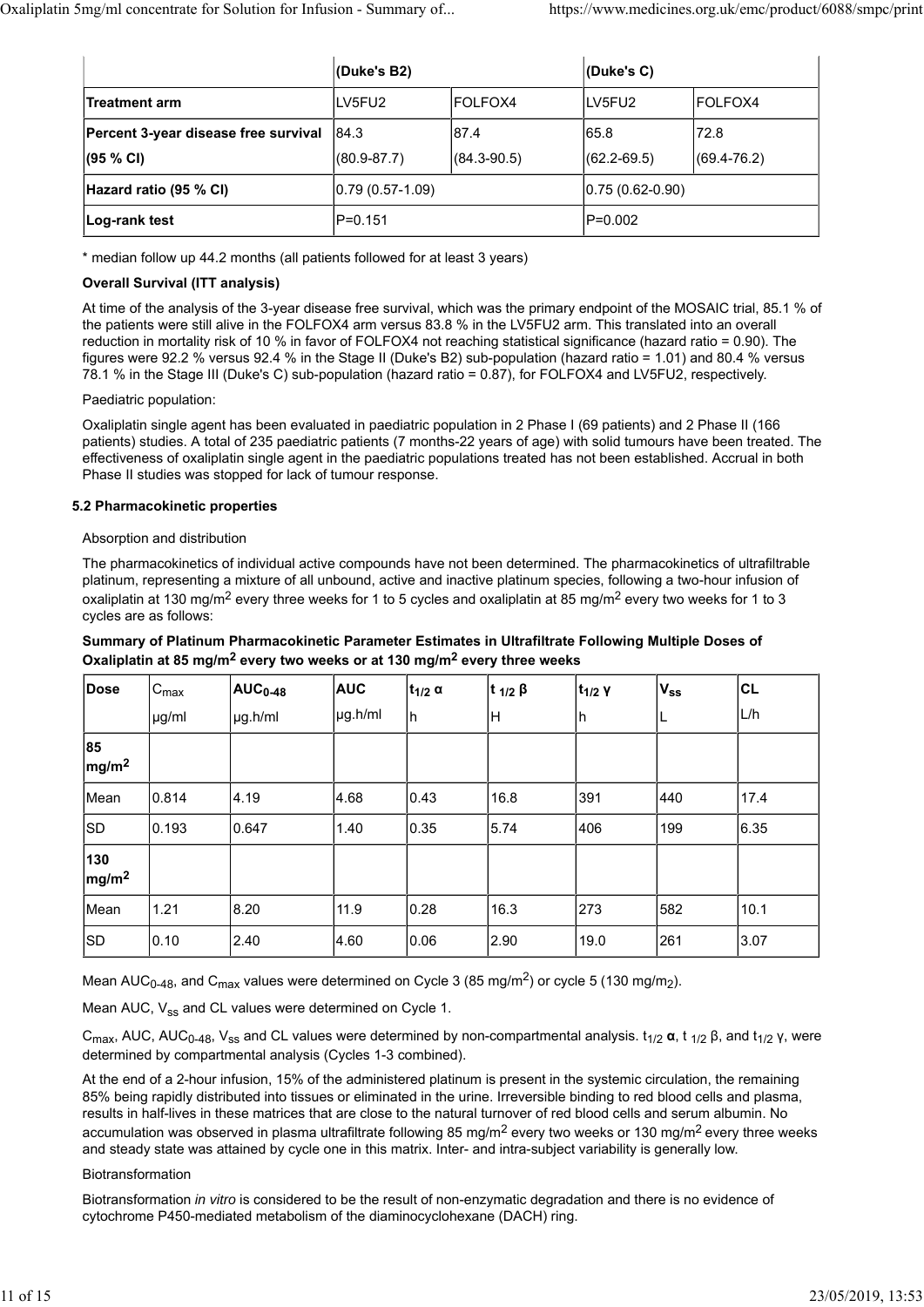|                                      | (Duke's B2)         |                 | $ $ (Duke's C)      |                 |  |
|--------------------------------------|---------------------|-----------------|---------------------|-----------------|--|
| lTreatment arm                       | ILV5FU2             | <b>IFOLFOX4</b> | LV5FU2              | IFOLFOX4        |  |
| Percent 3-year disease free survival | 184.3               | 87.4            | 165.8               | 172.8           |  |
| (95 % C)                             | $(80.9 - 87.7)$     | $(84.3 - 90.5)$ | $(62.2 - 69.5)$     | $(69.4 - 76.2)$ |  |
| Hazard ratio (95 % CI)               | $(0.79(0.57-1.09))$ |                 | $ 0.75(0.62-0.90) $ |                 |  |
| Log-rank test                        | IP=0.151            |                 | P=0.002             |                 |  |

\* median follow up 44.2 months (all patients followed for at least 3 years)

### **Overall Survival (ITT analysis)**

At time of the analysis of the 3-year disease free survival, which was the primary endpoint of the MOSAIC trial, 85.1 % of the patients were still alive in the FOLFOX4 arm versus 83.8 % in the LV5FU2 arm. This translated into an overall reduction in mortality risk of 10 % in favor of FOLFOX4 not reaching statistical significance (hazard ratio = 0.90). The figures were 92.2 % versus 92.4 % in the Stage II (Duke's B2) sub-population (hazard ratio = 1.01) and 80.4 % versus 78.1 % in the Stage III (Duke's C) sub-population (hazard ratio = 0.87), for FOLFOX4 and LV5FU2, respectively.

Paediatric population:

Oxaliplatin single agent has been evaluated in paediatric population in 2 Phase I (69 patients) and 2 Phase II (166 patients) studies. A total of 235 paediatric patients (7 months-22 years of age) with solid tumours have been treated. The effectiveness of oxaliplatin single agent in the paediatric populations treated has not been established. Accrual in both Phase II studies was stopped for lack of tumour response.

### **5.2 Pharmacokinetic properties**

### Absorption and distribution

The pharmacokinetics of individual active compounds have not been determined. The pharmacokinetics of ultrafiltrable platinum, representing a mixture of all unbound, active and inactive platinum species, following a two-hour infusion of oxaliplatin at 130 mg/m<sup>2</sup> every three weeks for 1 to 5 cycles and oxaliplatin at 85 mg/m<sup>2</sup> every two weeks for 1 to 3 cycles are as follows:

| Summary of Platinum Pharmacokinetic Parameter Estimates in Ultrafiltrate Following Multiple Doses of |
|------------------------------------------------------------------------------------------------------|
| Oxaliplatin at 85 mg/m <sup>2</sup> every two weeks or at 130 mg/m <sup>2</sup> every three weeks    |

| Dose                   | $C_{\text{max}}$ | $\mathsf{AUC}_{0\text{-}48}$ | <b>AUC</b> | $ t_{1/2} \alpha$ | t $_{1/2}$ $\beta$ | $t_{1/2}$ Y | $V_{ss}$ | <b>CL</b> |
|------------------------|------------------|------------------------------|------------|-------------------|--------------------|-------------|----------|-----------|
|                        | µg/ml            | µg.h/ml                      | µg.h/ml    | lh                | lн                 | h           | ┗        | L/h       |
| 85<br>$\text{Im}g/m^2$ |                  |                              |            |                   |                    |             |          |           |
| Mean                   | 0.814            | 4.19                         | 4.68       | 0.43              | 16.8               | 391         | 440      | 17.4      |
| <b>SD</b>              | 0.193            | 0.647                        | 1.40       | 0.35              | 5.74               | 406         | 199      | 6.35      |
| 130<br>$\sqrt{mg/m^2}$ |                  |                              |            |                   |                    |             |          |           |
| <b>I</b> Mean          | 1.21             | 8.20                         | 11.9       | 0.28              | 16.3               | 273         | 582      | 10.1      |
| <b>SD</b>              | 0.10             | 2.40                         | 4.60       | 0.06              | 2.90               | 19.0        | 261      | 3.07      |

Mean AUC<sub>0-48</sub>, and C<sub>max</sub> values were determined on Cycle 3 (85 mg/m<sup>2</sup>) or cycle 5 (130 mg/m<sub>2</sub>).

Mean AUC, V<sub>ss</sub> and CL values were determined on Cycle 1.

C<sub>max</sub>, AUC, AUC<sub>0-48</sub>, V<sub>ss</sub> and CL values were determined by non-compartmental analysis. t<sub>1/2</sub> α, t<sub>1/2</sub> β, and t<sub>1/2</sub> γ, were determined by compartmental analysis (Cycles 1-3 combined).

At the end of a 2-hour infusion, 15% of the administered platinum is present in the systemic circulation, the remaining 85% being rapidly distributed into tissues or eliminated in the urine. Irreversible binding to red blood cells and plasma, results in half-lives in these matrices that are close to the natural turnover of red blood cells and serum albumin. No accumulation was observed in plasma ultrafiltrate following 85 mg/m<sup>2</sup> every two weeks or 130 mg/m<sup>2</sup> every three weeks and steady state was attained by cycle one in this matrix. Inter- and intra-subject variability is generally low.

#### Biotransformation

Biotransformation *in vitro* is considered to be the result of non-enzymatic degradation and there is no evidence of cytochrome P450-mediated metabolism of the diaminocyclohexane (DACH) ring.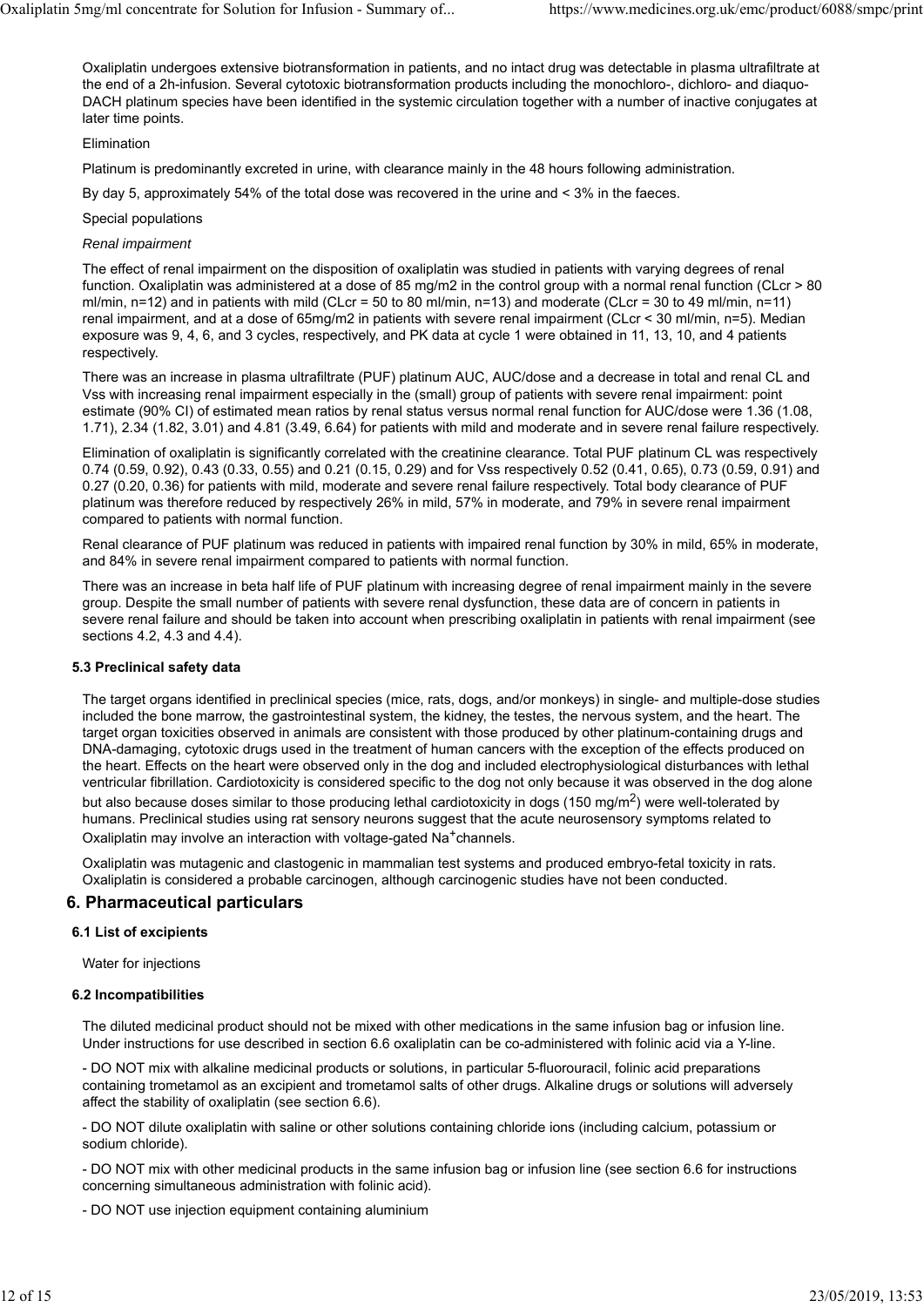Oxaliplatin undergoes extensive biotransformation in patients, and no intact drug was detectable in plasma ultrafiltrate at the end of a 2h-infusion. Several cytotoxic biotransformation products including the monochloro-, dichloro- and diaquo-DACH platinum species have been identified in the systemic circulation together with a number of inactive conjugates at later time points.

Elimination

Platinum is predominantly excreted in urine, with clearance mainly in the 48 hours following administration.

By day 5, approximately 54% of the total dose was recovered in the urine and < 3% in the faeces.

Special populations

#### *Renal impairment*

The effect of renal impairment on the disposition of oxaliplatin was studied in patients with varying degrees of renal function. Oxaliplatin was administered at a dose of 85 mg/m2 in the control group with a normal renal function (CLcr > 80 ml/min, n=12) and in patients with mild (CLcr = 50 to 80 ml/min, n=13) and moderate (CLcr = 30 to 49 ml/min, n=11) renal impairment, and at a dose of 65mg/m2 in patients with severe renal impairment (CLcr < 30 ml/min, n=5). Median exposure was 9, 4, 6, and 3 cycles, respectively, and PK data at cycle 1 were obtained in 11, 13, 10, and 4 patients respectively.

There was an increase in plasma ultrafiltrate (PUF) platinum AUC, AUC/dose and a decrease in total and renal CL and Vss with increasing renal impairment especially in the (small) group of patients with severe renal impairment: point estimate (90% CI) of estimated mean ratios by renal status versus normal renal function for AUC/dose were 1.36 (1.08, 1.71), 2.34 (1.82, 3.01) and 4.81 (3.49, 6.64) for patients with mild and moderate and in severe renal failure respectively.

Elimination of oxaliplatin is significantly correlated with the creatinine clearance. Total PUF platinum CL was respectively 0.74 (0.59, 0.92), 0.43 (0.33, 0.55) and 0.21 (0.15, 0.29) and for Vss respectively 0.52 (0.41, 0.65), 0.73 (0.59, 0.91) and 0.27 (0.20, 0.36) for patients with mild, moderate and severe renal failure respectively. Total body clearance of PUF platinum was therefore reduced by respectively 26% in mild, 57% in moderate, and 79% in severe renal impairment compared to patients with normal function.

Renal clearance of PUF platinum was reduced in patients with impaired renal function by 30% in mild, 65% in moderate, and 84% in severe renal impairment compared to patients with normal function.

There was an increase in beta half life of PUF platinum with increasing degree of renal impairment mainly in the severe group. Despite the small number of patients with severe renal dysfunction, these data are of concern in patients in severe renal failure and should be taken into account when prescribing oxaliplatin in patients with renal impairment (see sections 4.2, 4.3 and 4.4).

### **5.3 Preclinical safety data**

The target organs identified in preclinical species (mice, rats, dogs, and/or monkeys) in single- and multiple-dose studies included the bone marrow, the gastrointestinal system, the kidney, the testes, the nervous system, and the heart. The target organ toxicities observed in animals are consistent with those produced by other platinum-containing drugs and DNA-damaging, cytotoxic drugs used in the treatment of human cancers with the exception of the effects produced on the heart. Effects on the heart were observed only in the dog and included electrophysiological disturbances with lethal ventricular fibrillation. Cardiotoxicity is considered specific to the dog not only because it was observed in the dog alone but also because doses similar to those producing lethal cardiotoxicity in dogs (150 mg/m<sup>2</sup>) were well-tolerated by humans. Preclinical studies using rat sensory neurons suggest that the acute neurosensory symptoms related to Oxaliplatin may involve an interaction with voltage-gated Na<sup>+</sup>channels.

Oxaliplatin was mutagenic and clastogenic in mammalian test systems and produced embryo-fetal toxicity in rats. Oxaliplatin is considered a probable carcinogen, although carcinogenic studies have not been conducted.

# **6. Pharmaceutical particulars**

### **6.1 List of excipients**

Water for injections

### **6.2 Incompatibilities**

The diluted medicinal product should not be mixed with other medications in the same infusion bag or infusion line. Under instructions for use described in section 6.6 oxaliplatin can be co-administered with folinic acid via a Y-line.

- DO NOT mix with alkaline medicinal products or solutions, in particular 5-fluorouracil, folinic acid preparations containing trometamol as an excipient and trometamol salts of other drugs. Alkaline drugs or solutions will adversely affect the stability of oxaliplatin (see section 6.6).

- DO NOT dilute oxaliplatin with saline or other solutions containing chloride ions (including calcium, potassium or sodium chloride).

- DO NOT mix with other medicinal products in the same infusion bag or infusion line (see section 6.6 for instructions concerning simultaneous administration with folinic acid).

- DO NOT use injection equipment containing aluminium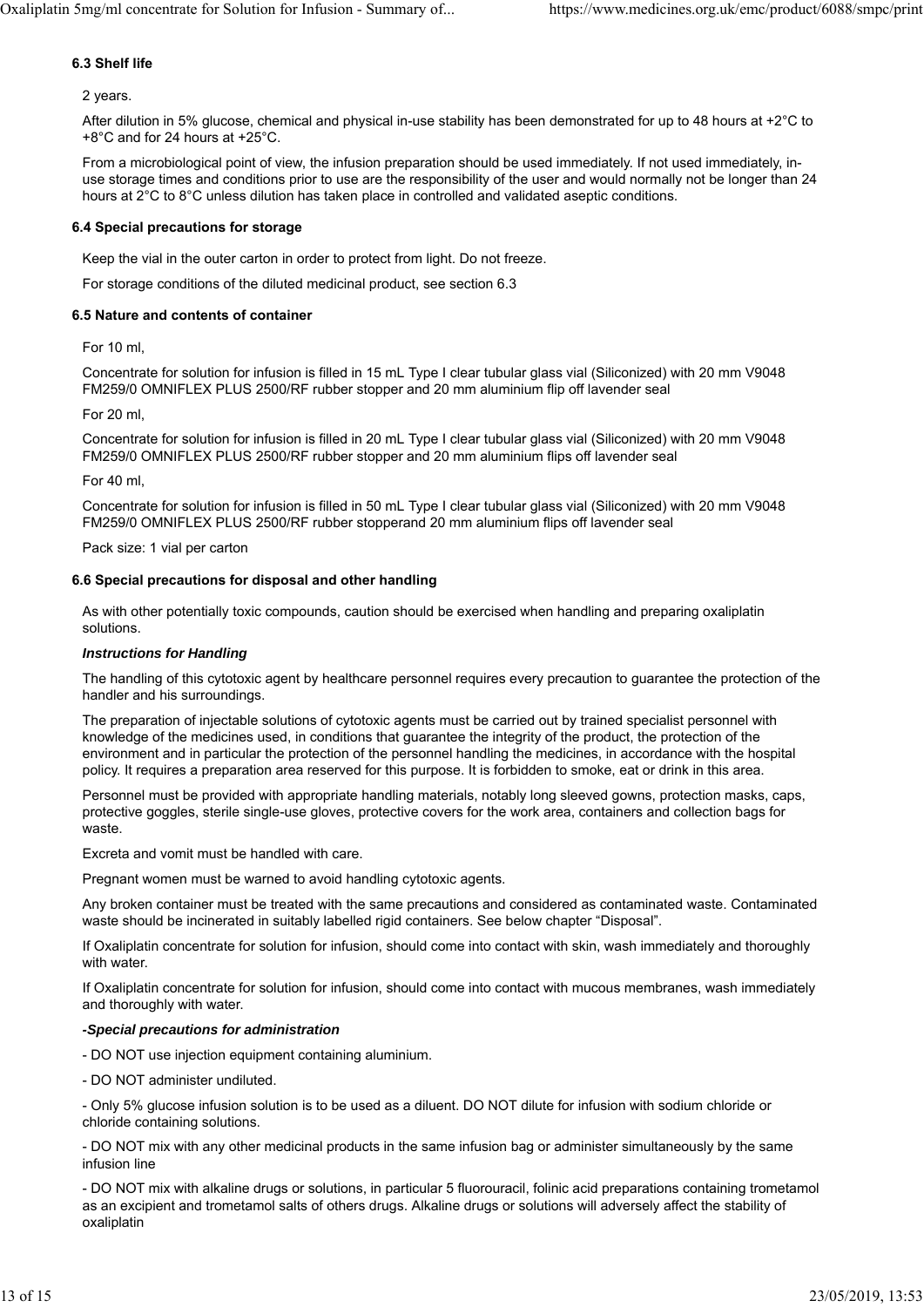#### **6.3 Shelf life**

2 years.

After dilution in 5% glucose, chemical and physical in-use stability has been demonstrated for up to 48 hours at +2°C to +8°C and for 24 hours at +25°C.

From a microbiological point of view, the infusion preparation should be used immediately. If not used immediately, inuse storage times and conditions prior to use are the responsibility of the user and would normally not be longer than 24 hours at 2°C to 8°C unless dilution has taken place in controlled and validated aseptic conditions.

#### **6.4 Special precautions for storage**

Keep the vial in the outer carton in order to protect from light. Do not freeze.

For storage conditions of the diluted medicinal product, see section 6.3

#### **6.5 Nature and contents of container**

For 10 ml,

Concentrate for solution for infusion is filled in 15 mL Type I clear tubular glass vial (Siliconized) with 20 mm V9048 FM259/0 OMNIFLEX PLUS 2500/RF rubber stopper and 20 mm aluminium flip off lavender seal

#### For 20 ml,

Concentrate for solution for infusion is filled in 20 mL Type I clear tubular glass vial (Siliconized) with 20 mm V9048 FM259/0 OMNIFLEX PLUS 2500/RF rubber stopper and 20 mm aluminium flips off lavender seal

#### For 40 ml,

Concentrate for solution for infusion is filled in 50 mL Type I clear tubular glass vial (Siliconized) with 20 mm V9048 FM259/0 OMNIFLEX PLUS 2500/RF rubber stopperand 20 mm aluminium flips off lavender seal

Pack size: 1 vial per carton

#### **6.6 Special precautions for disposal and other handling**

As with other potentially toxic compounds, caution should be exercised when handling and preparing oxaliplatin solutions.

#### *Instructions for Handling*

The handling of this cytotoxic agent by healthcare personnel requires every precaution to guarantee the protection of the handler and his surroundings.

The preparation of injectable solutions of cytotoxic agents must be carried out by trained specialist personnel with knowledge of the medicines used, in conditions that guarantee the integrity of the product, the protection of the environment and in particular the protection of the personnel handling the medicines, in accordance with the hospital policy. It requires a preparation area reserved for this purpose. It is forbidden to smoke, eat or drink in this area.

Personnel must be provided with appropriate handling materials, notably long sleeved gowns, protection masks, caps, protective goggles, sterile single-use gloves, protective covers for the work area, containers and collection bags for waste.

Excreta and vomit must be handled with care.

Pregnant women must be warned to avoid handling cytotoxic agents.

Any broken container must be treated with the same precautions and considered as contaminated waste. Contaminated waste should be incinerated in suitably labelled rigid containers. See below chapter "Disposal".

If Oxaliplatin concentrate for solution for infusion, should come into contact with skin, wash immediately and thoroughly with water.

If Oxaliplatin concentrate for solution for infusion, should come into contact with mucous membranes, wash immediately and thoroughly with water.

### *-Special precautions for administration*

- DO NOT use injection equipment containing aluminium.
- DO NOT administer undiluted.

- Only 5% glucose infusion solution is to be used as a diluent. DO NOT dilute for infusion with sodium chloride or chloride containing solutions.

- DO NOT mix with any other medicinal products in the same infusion bag or administer simultaneously by the same infusion line

- DO NOT mix with alkaline drugs or solutions, in particular 5 fluorouracil, folinic acid preparations containing trometamol as an excipient and trometamol salts of others drugs. Alkaline drugs or solutions will adversely affect the stability of oxaliplatin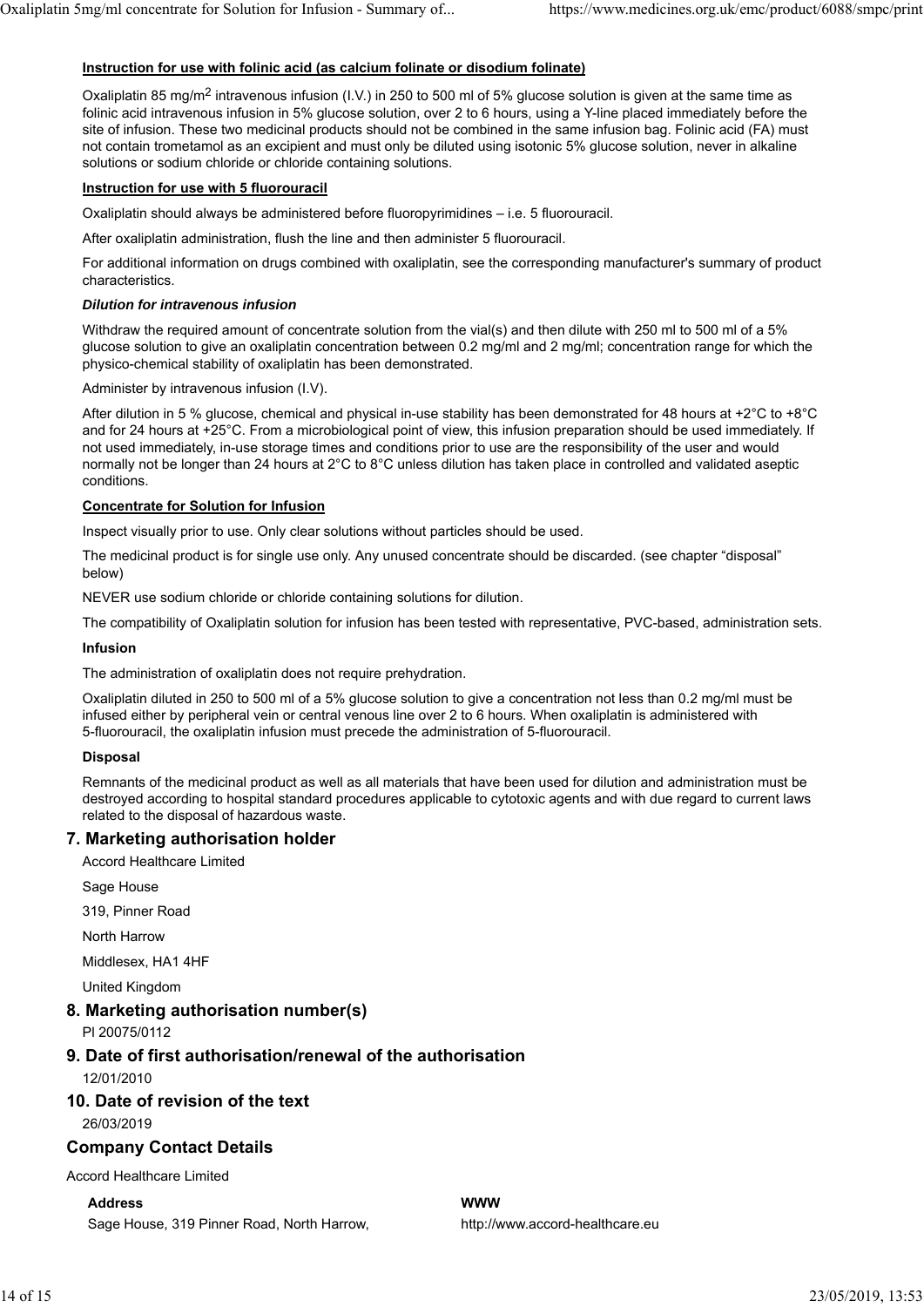### **Instruction for use with folinic acid (as calcium folinate or disodium folinate)**

Oxaliplatin 85 mg/m<sup>2</sup> intravenous infusion (I.V.) in 250 to 500 ml of 5% glucose solution is given at the same time as folinic acid intravenous infusion in 5% glucose solution, over 2 to 6 hours, using a Y-line placed immediately before the site of infusion. These two medicinal products should not be combined in the same infusion bag. Folinic acid (FA) must not contain trometamol as an excipient and must only be diluted using isotonic 5% glucose solution, never in alkaline solutions or sodium chloride or chloride containing solutions.

### **Instruction for use with 5 fluorouracil**

Oxaliplatin should always be administered before fluoropyrimidines – i.e. 5 fluorouracil.

After oxaliplatin administration, flush the line and then administer 5 fluorouracil.

For additional information on drugs combined with oxaliplatin, see the corresponding manufacturer's summary of product characteristics.

### *Dilution for intravenous infusion*

Withdraw the required amount of concentrate solution from the vial(s) and then dilute with 250 ml to 500 ml of a 5% glucose solution to give an oxaliplatin concentration between 0.2 mg/ml and 2 mg/ml; concentration range for which the physico-chemical stability of oxaliplatin has been demonstrated.

Administer by intravenous infusion (I.V).

After dilution in 5 % glucose, chemical and physical in-use stability has been demonstrated for 48 hours at +2 $^{\circ}$ C to +8 $^{\circ}$ C and for 24 hours at +25°C. From a microbiological point of view, this infusion preparation should be used immediately. If not used immediately, in-use storage times and conditions prior to use are the responsibility of the user and would normally not be longer than 24 hours at 2°C to 8°C unless dilution has taken place in controlled and validated aseptic conditions.

### **Concentrate for Solution for Infusion**

Inspect visually prior to use. Only clear solutions without particles should be used.

The medicinal product is for single use only. Any unused concentrate should be discarded. (see chapter "disposal" below)

NEVER use sodium chloride or chloride containing solutions for dilution.

The compatibility of Oxaliplatin solution for infusion has been tested with representative, PVC-based, administration sets.

#### **Infusion**

The administration of oxaliplatin does not require prehydration.

Oxaliplatin diluted in 250 to 500 ml of a 5% glucose solution to give a concentration not less than 0.2 mg/ml must be infused either by peripheral vein or central venous line over 2 to 6 hours. When oxaliplatin is administered with 5-fluorouracil, the oxaliplatin infusion must precede the administration of 5-fluorouracil.

#### **Disposal**

Remnants of the medicinal product as well as all materials that have been used for dilution and administration must be destroyed according to hospital standard procedures applicable to cytotoxic agents and with due regard to current laws related to the disposal of hazardous waste.

### **7. Marketing authorisation holder**

Accord Healthcare Limited

Sage House

319, Pinner Road

North Harrow

Middlesex, HA1 4HF

United Kingdom

# **8. Marketing authorisation number(s)**

Pl 20075/0112

# **9. Date of first authorisation/renewal of the authorisation**

12/01/2010

# **10. Date of revision of the text**

26/03/2019

# **Company Contact Details**

Accord Healthcare Limited

#### **Address**

Sage House, 319 Pinner Road, North Harrow,

### **WWW**

http://www.accord-healthcare.eu